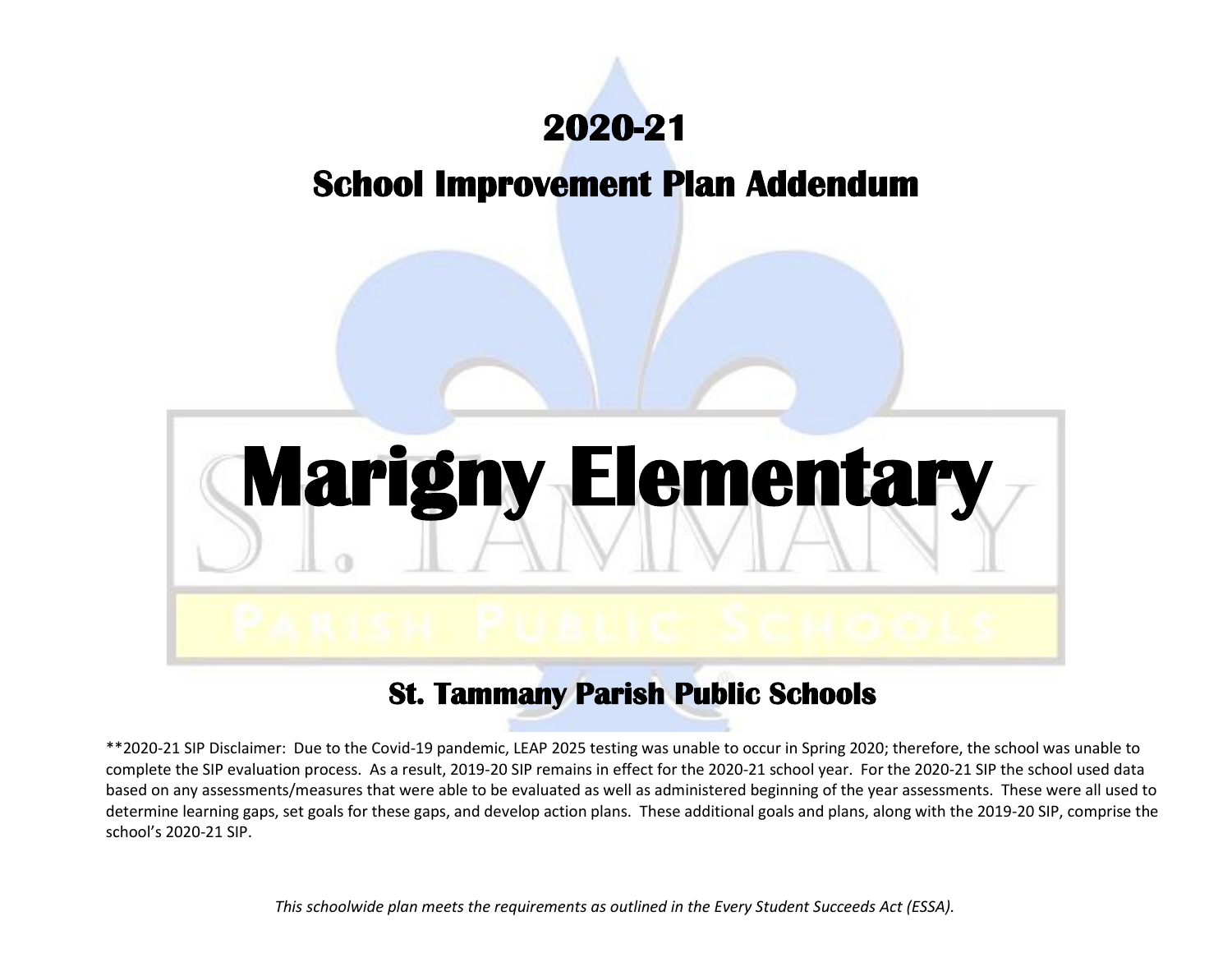

# **School Improvement Plan Addendum**



# **St. Tammany Parish Public Schools**

\*\*2020-21 SIP Disclaimer: Due to the Covid-19 pandemic, LEAP 2025 testing was unable to occur in Spring 2020; therefore, the school was unable to complete the SIP evaluation process. As a result, 2019-20 SIP remains in effect for the 2020-21 school year. For the 2020-21 SIP the school used data based on any assessments/measures that were able to be evaluated as well as administered beginning of the year assessments. These were all used to determine learning gaps, set goals for these gaps, and develop action plans. These additional goals and plans, along with the 2019-20 SIP, comprise the school's 2020-21 SIP.

*This schoolwide plan meets the requirements as outlined in the Every Student Succeeds Act (ESSA).*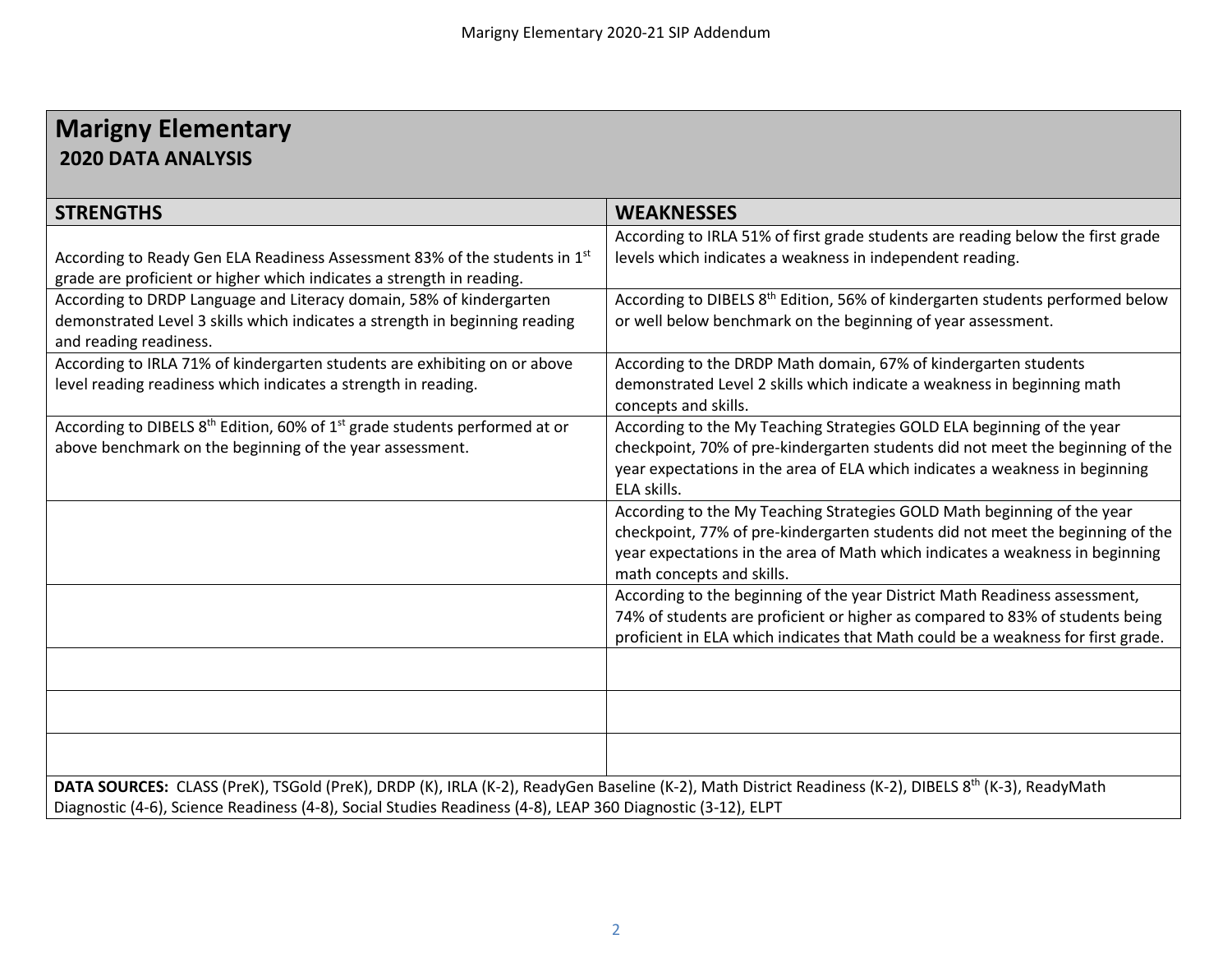# **Marigny Elementary 2020 DATA ANALYSIS**

| <b>STRENGTHS</b>                                                                                                                                                                                                                                                                | <b>WEAKNESSES</b>                                                                                                                                                                                                                                                       |
|---------------------------------------------------------------------------------------------------------------------------------------------------------------------------------------------------------------------------------------------------------------------------------|-------------------------------------------------------------------------------------------------------------------------------------------------------------------------------------------------------------------------------------------------------------------------|
| According to Ready Gen ELA Readiness Assessment 83% of the students in 1 <sup>st</sup><br>grade are proficient or higher which indicates a strength in reading.                                                                                                                 | According to IRLA 51% of first grade students are reading below the first grade<br>levels which indicates a weakness in independent reading.                                                                                                                            |
| According to DRDP Language and Literacy domain, 58% of kindergarten<br>demonstrated Level 3 skills which indicates a strength in beginning reading<br>and reading readiness.                                                                                                    | According to DIBELS 8 <sup>th</sup> Edition, 56% of kindergarten students performed below<br>or well below benchmark on the beginning of year assessment.                                                                                                               |
| According to IRLA 71% of kindergarten students are exhibiting on or above<br>level reading readiness which indicates a strength in reading.                                                                                                                                     | According to the DRDP Math domain, 67% of kindergarten students<br>demonstrated Level 2 skills which indicate a weakness in beginning math<br>concepts and skills.                                                                                                      |
| According to DIBELS 8 <sup>th</sup> Edition, 60% of 1 <sup>st</sup> grade students performed at or<br>above benchmark on the beginning of the year assessment.                                                                                                                  | According to the My Teaching Strategies GOLD ELA beginning of the year<br>checkpoint, 70% of pre-kindergarten students did not meet the beginning of the<br>year expectations in the area of ELA which indicates a weakness in beginning<br>ELA skills.                 |
|                                                                                                                                                                                                                                                                                 | According to the My Teaching Strategies GOLD Math beginning of the year<br>checkpoint, 77% of pre-kindergarten students did not meet the beginning of the<br>year expectations in the area of Math which indicates a weakness in beginning<br>math concepts and skills. |
|                                                                                                                                                                                                                                                                                 | According to the beginning of the year District Math Readiness assessment,<br>74% of students are proficient or higher as compared to 83% of students being<br>proficient in ELA which indicates that Math could be a weakness for first grade.                         |
|                                                                                                                                                                                                                                                                                 |                                                                                                                                                                                                                                                                         |
|                                                                                                                                                                                                                                                                                 |                                                                                                                                                                                                                                                                         |
|                                                                                                                                                                                                                                                                                 |                                                                                                                                                                                                                                                                         |
| DATA SOURCES: CLASS (PreK), TSGold (PreK), DRDP (K), IRLA (K-2), ReadyGen Baseline (K-2), Math District Readiness (K-2), DIBELS 8 <sup>th</sup> (K-3), ReadyMath<br>Diagnostic (4-6), Science Readiness (4-8), Social Studies Readiness (4-8), LEAP 360 Diagnostic (3-12), ELPT |                                                                                                                                                                                                                                                                         |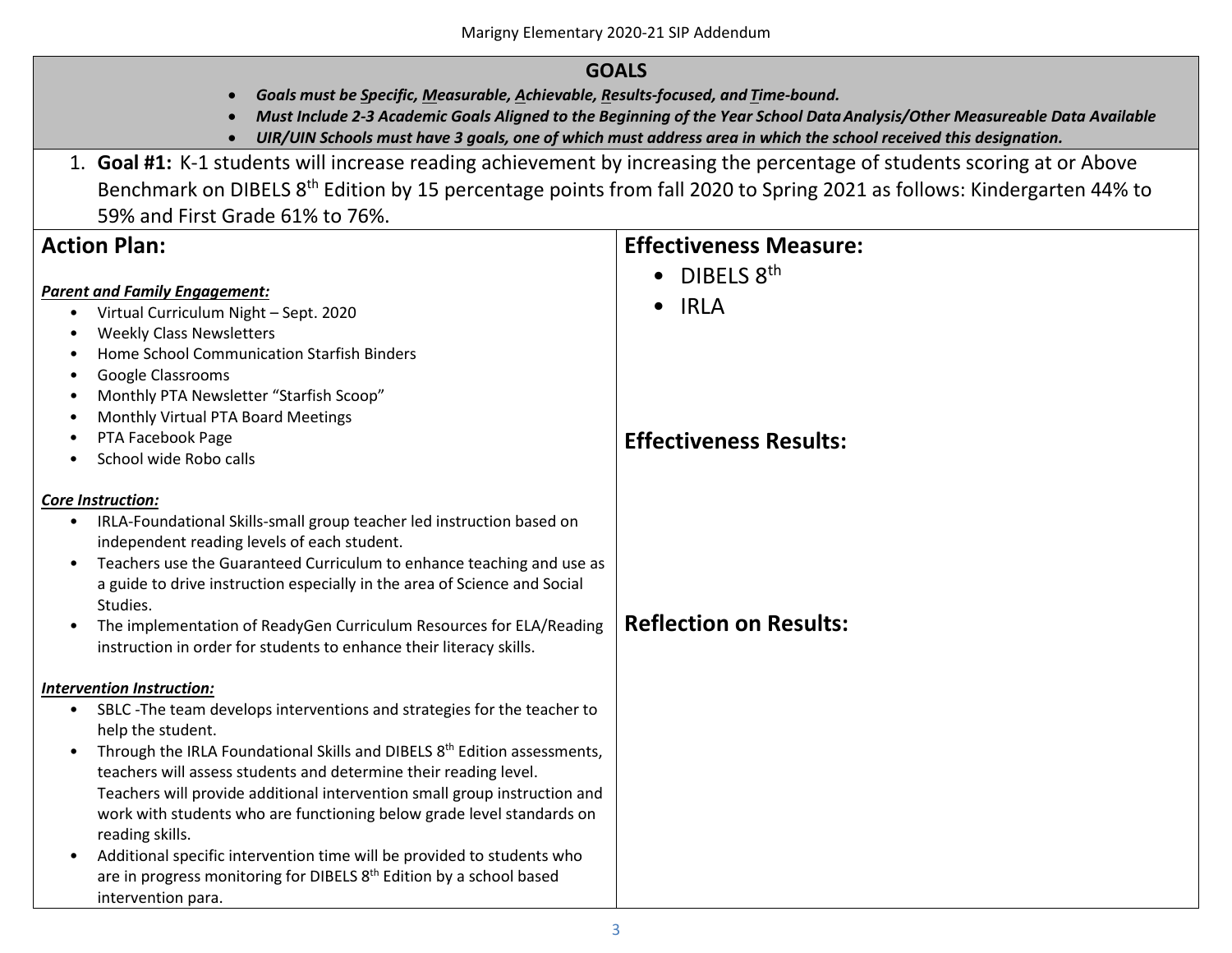# **GOALS**

- *Goals must be Specific, Measurable, Achievable, Results-focused, and Time-bound.*
- Must Include 2-3 Academic Goals Aligned to the Beginning of the Year School Data Analysis/Other Measureable Data Available<br>• UIR/UIN Schools must have 3 goals, one of which must address area in which the school received
- 
- 1. **Goal #1:** K-1 students will increase reading achievement by increasing the percentage of students scoring at or Above Benchmark on DIBELS 8th Edition by 15 percentage points from fall 2020 to Spring 2021 as follows: Kindergarten 44% to 59% and First Grade 61% to 76%.

| <b>Action Plan:</b>                                                                                                                                                                                                                                                                                                                                                                                                                                                                                                                                                                                                                                            | <b>Effectiveness Measure:</b>                                           |
|----------------------------------------------------------------------------------------------------------------------------------------------------------------------------------------------------------------------------------------------------------------------------------------------------------------------------------------------------------------------------------------------------------------------------------------------------------------------------------------------------------------------------------------------------------------------------------------------------------------------------------------------------------------|-------------------------------------------------------------------------|
| <b>Parent and Family Engagement:</b><br>Virtual Curriculum Night - Sept. 2020<br>$\bullet$<br><b>Weekly Class Newsletters</b><br>$\bullet$<br>Home School Communication Starfish Binders<br><b>Google Classrooms</b><br>$\bullet$<br>Monthly PTA Newsletter "Starfish Scoop"<br>Monthly Virtual PTA Board Meetings<br>$\bullet$<br>PTA Facebook Page<br>$\bullet$<br>School wide Robo calls                                                                                                                                                                                                                                                                    | DIBELS 8th<br><b>IRLA</b><br>$\bullet$<br><b>Effectiveness Results:</b> |
| Core Instruction:<br>IRLA-Foundational Skills-small group teacher led instruction based on<br>$\bullet$<br>independent reading levels of each student.<br>Teachers use the Guaranteed Curriculum to enhance teaching and use as<br>$\bullet$<br>a guide to drive instruction especially in the area of Science and Social<br>Studies.<br>The implementation of ReadyGen Curriculum Resources for ELA/Reading<br>instruction in order for students to enhance their literacy skills.                                                                                                                                                                            | <b>Reflection on Results:</b>                                           |
| Intervention Instruction:<br>SBLC -The team develops interventions and strategies for the teacher to<br>$\bullet$<br>help the student.<br>Through the IRLA Foundational Skills and DIBELS 8 <sup>th</sup> Edition assessments,<br>teachers will assess students and determine their reading level.<br>Teachers will provide additional intervention small group instruction and<br>work with students who are functioning below grade level standards on<br>reading skills.<br>Additional specific intervention time will be provided to students who<br>are in progress monitoring for DIBELS 8 <sup>th</sup> Edition by a school based<br>intervention para. |                                                                         |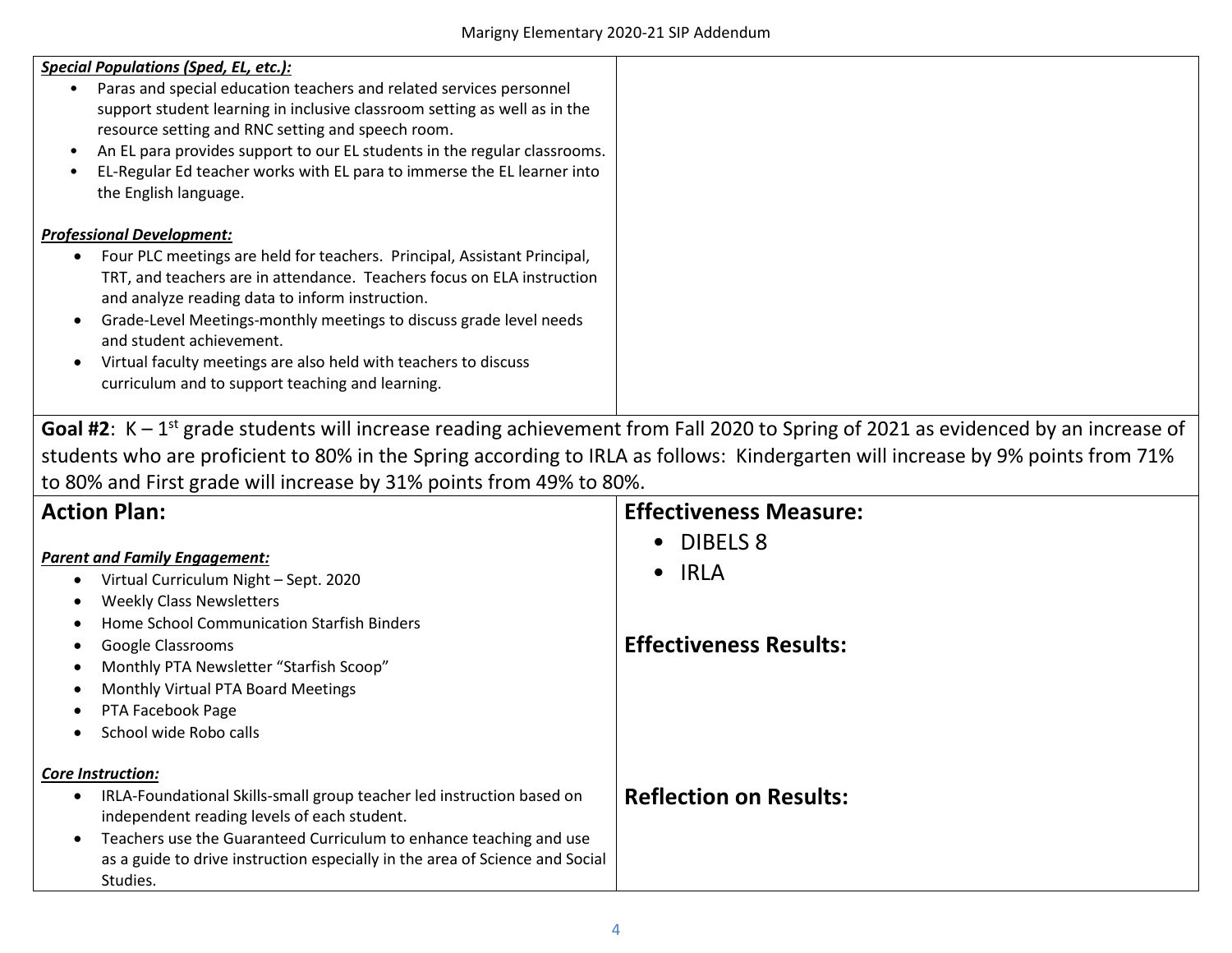| <b>Special Populations (Sped, EL, etc.):</b><br>Paras and special education teachers and related services personnel<br>support student learning in inclusive classroom setting as well as in the<br>resource setting and RNC setting and speech room.<br>An EL para provides support to our EL students in the regular classrooms.<br>EL-Regular Ed teacher works with EL para to immerse the EL learner into<br>the English language.                             |
|--------------------------------------------------------------------------------------------------------------------------------------------------------------------------------------------------------------------------------------------------------------------------------------------------------------------------------------------------------------------------------------------------------------------------------------------------------------------|
| <b>Professional Development:</b><br>Four PLC meetings are held for teachers. Principal, Assistant Principal,<br>TRT, and teachers are in attendance. Teachers focus on ELA instruction<br>and analyze reading data to inform instruction.<br>Grade-Level Meetings-monthly meetings to discuss grade level needs<br>and student achievement.<br>Virtual faculty meetings are also held with teachers to discuss<br>curriculum and to support teaching and learning. |

Goal #2: K – 1<sup>st</sup> grade students will increase reading achievement from Fall 2020 to Spring of 2021 as evidenced by an increase of students who are proficient to 80% in the Spring according to IRLA as follows: Kindergarten will increase by 9% points from 71% to 80% and First grade will increase by 31% points from 49% to 80%.

| <b>Action Plan:</b>                                                                                                                                                                                                                                                                                                                   | <b>Effectiveness Measure:</b>                                                |
|---------------------------------------------------------------------------------------------------------------------------------------------------------------------------------------------------------------------------------------------------------------------------------------------------------------------------------------|------------------------------------------------------------------------------|
| <b>Parent and Family Engagement:</b><br>Virtual Curriculum Night - Sept. 2020<br><b>Weekly Class Newsletters</b><br>Home School Communication Starfish Binders<br>Google Classrooms<br>Monthly PTA Newsletter "Starfish Scoop"<br>Monthly Virtual PTA Board Meetings<br>PTA Facebook Page<br>School wide Robo calls                   | <b>DIBELS 8</b><br><b>IRLA</b><br>$\bullet$<br><b>Effectiveness Results:</b> |
| Core Instruction:<br>IRLA-Foundational Skills-small group teacher led instruction based on<br>$\bullet$<br>independent reading levels of each student.<br>Teachers use the Guaranteed Curriculum to enhance teaching and use<br>$\bullet$<br>as a guide to drive instruction especially in the area of Science and Social<br>Studies. | <b>Reflection on Results:</b>                                                |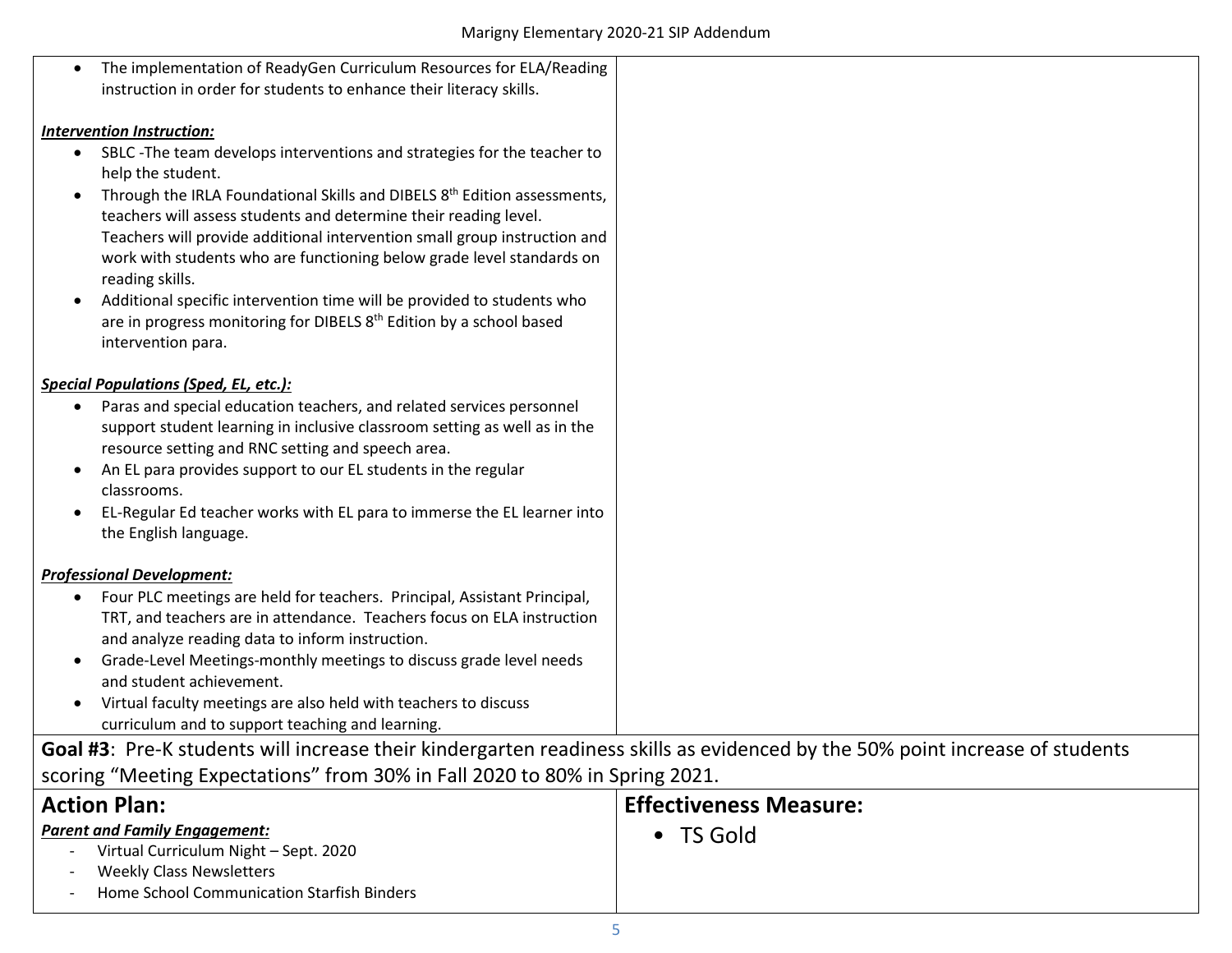| The implementation of ReadyGen Curriculum Resources for ELA/Reading                                                          |                               |
|------------------------------------------------------------------------------------------------------------------------------|-------------------------------|
| instruction in order for students to enhance their literacy skills.                                                          |                               |
|                                                                                                                              |                               |
| Intervention Instruction:                                                                                                    |                               |
| SBLC -The team develops interventions and strategies for the teacher to<br>٠                                                 |                               |
| help the student.                                                                                                            |                               |
| Through the IRLA Foundational Skills and DIBELS 8 <sup>th</sup> Edition assessments,<br>٠                                    |                               |
| teachers will assess students and determine their reading level.                                                             |                               |
| Teachers will provide additional intervention small group instruction and                                                    |                               |
| work with students who are functioning below grade level standards on                                                        |                               |
| reading skills.                                                                                                              |                               |
| Additional specific intervention time will be provided to students who<br>$\bullet$                                          |                               |
| are in progress monitoring for DIBELS 8 <sup>th</sup> Edition by a school based                                              |                               |
| intervention para.                                                                                                           |                               |
|                                                                                                                              |                               |
| <b>Special Populations (Sped, EL, etc.):</b>                                                                                 |                               |
| Paras and special education teachers, and related services personnel<br>٠                                                    |                               |
| support student learning in inclusive classroom setting as well as in the                                                    |                               |
| resource setting and RNC setting and speech area.                                                                            |                               |
| An EL para provides support to our EL students in the regular<br>٠                                                           |                               |
| classrooms.                                                                                                                  |                               |
| EL-Regular Ed teacher works with EL para to immerse the EL learner into<br>٠                                                 |                               |
| the English language.                                                                                                        |                               |
| <b>Professional Development:</b>                                                                                             |                               |
| Four PLC meetings are held for teachers. Principal, Assistant Principal,                                                     |                               |
| TRT, and teachers are in attendance. Teachers focus on ELA instruction                                                       |                               |
| and analyze reading data to inform instruction.                                                                              |                               |
| Grade-Level Meetings-monthly meetings to discuss grade level needs<br>٠                                                      |                               |
| and student achievement.                                                                                                     |                               |
| Virtual faculty meetings are also held with teachers to discuss<br>$\bullet$                                                 |                               |
| curriculum and to support teaching and learning.                                                                             |                               |
| Goal #3: Pre-K students will increase their kindergarten readiness skills as evidenced by the 50% point increase of students |                               |
| scoring "Meeting Expectations" from 30% in Fall 2020 to 80% in Spring 2021.                                                  |                               |
| <b>Action Plan:</b>                                                                                                          | <b>Effectiveness Measure:</b> |
|                                                                                                                              |                               |
| <b>Parent and Family Engagement:</b>                                                                                         | • TS Gold                     |
| Virtual Curriculum Night - Sept. 2020                                                                                        |                               |
| <b>Weekly Class Newsletters</b>                                                                                              |                               |
| Home School Communication Starfish Binders                                                                                   |                               |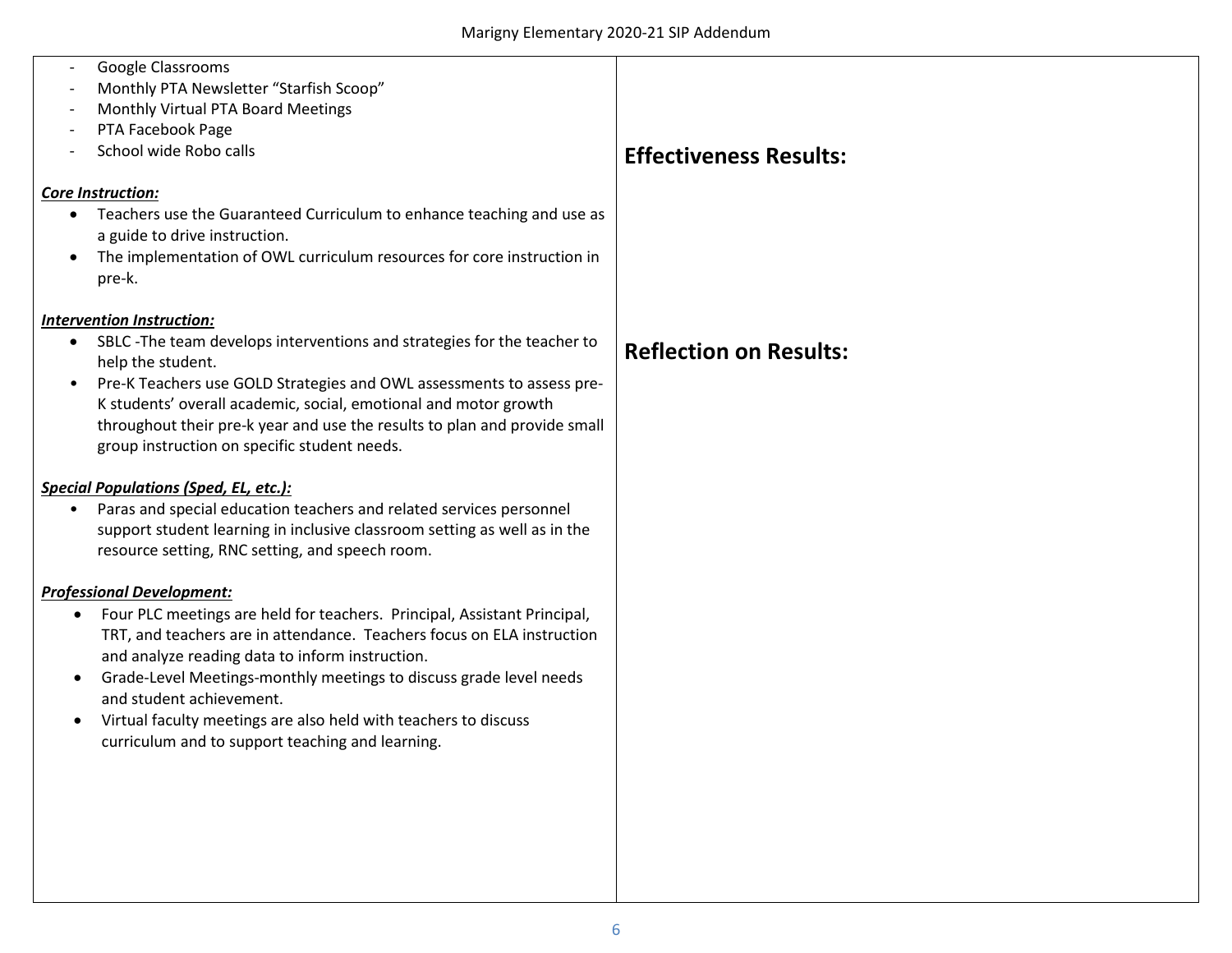| Google Classrooms                                                                     |                               |
|---------------------------------------------------------------------------------------|-------------------------------|
| Monthly PTA Newsletter "Starfish Scoop"                                               |                               |
| Monthly Virtual PTA Board Meetings                                                    |                               |
| PTA Facebook Page                                                                     |                               |
| School wide Robo calls                                                                | <b>Effectiveness Results:</b> |
|                                                                                       |                               |
| <b>Core Instruction:</b>                                                              |                               |
| Teachers use the Guaranteed Curriculum to enhance teaching and use as<br>$\bullet$    |                               |
| a guide to drive instruction.                                                         |                               |
| The implementation of OWL curriculum resources for core instruction in                |                               |
| pre-k.                                                                                |                               |
| Intervention Instruction:                                                             |                               |
| SBLC - The team develops interventions and strategies for the teacher to              |                               |
| help the student.                                                                     | <b>Reflection on Results:</b> |
| Pre-K Teachers use GOLD Strategies and OWL assessments to assess pre-<br>$\bullet$    |                               |
| K students' overall academic, social, emotional and motor growth                      |                               |
| throughout their pre-k year and use the results to plan and provide small             |                               |
| group instruction on specific student needs.                                          |                               |
|                                                                                       |                               |
| <b>Special Populations (Sped, EL, etc.):</b>                                          |                               |
| Paras and special education teachers and related services personnel                   |                               |
| support student learning in inclusive classroom setting as well as in the             |                               |
| resource setting, RNC setting, and speech room.                                       |                               |
| <b>Professional Development:</b>                                                      |                               |
| Four PLC meetings are held for teachers. Principal, Assistant Principal,<br>$\bullet$ |                               |
| TRT, and teachers are in attendance. Teachers focus on ELA instruction                |                               |
| and analyze reading data to inform instruction.                                       |                               |
| Grade-Level Meetings-monthly meetings to discuss grade level needs                    |                               |
| and student achievement.                                                              |                               |
| Virtual faculty meetings are also held with teachers to discuss                       |                               |
| curriculum and to support teaching and learning.                                      |                               |
|                                                                                       |                               |
|                                                                                       |                               |
|                                                                                       |                               |
|                                                                                       |                               |
|                                                                                       |                               |
|                                                                                       |                               |
|                                                                                       |                               |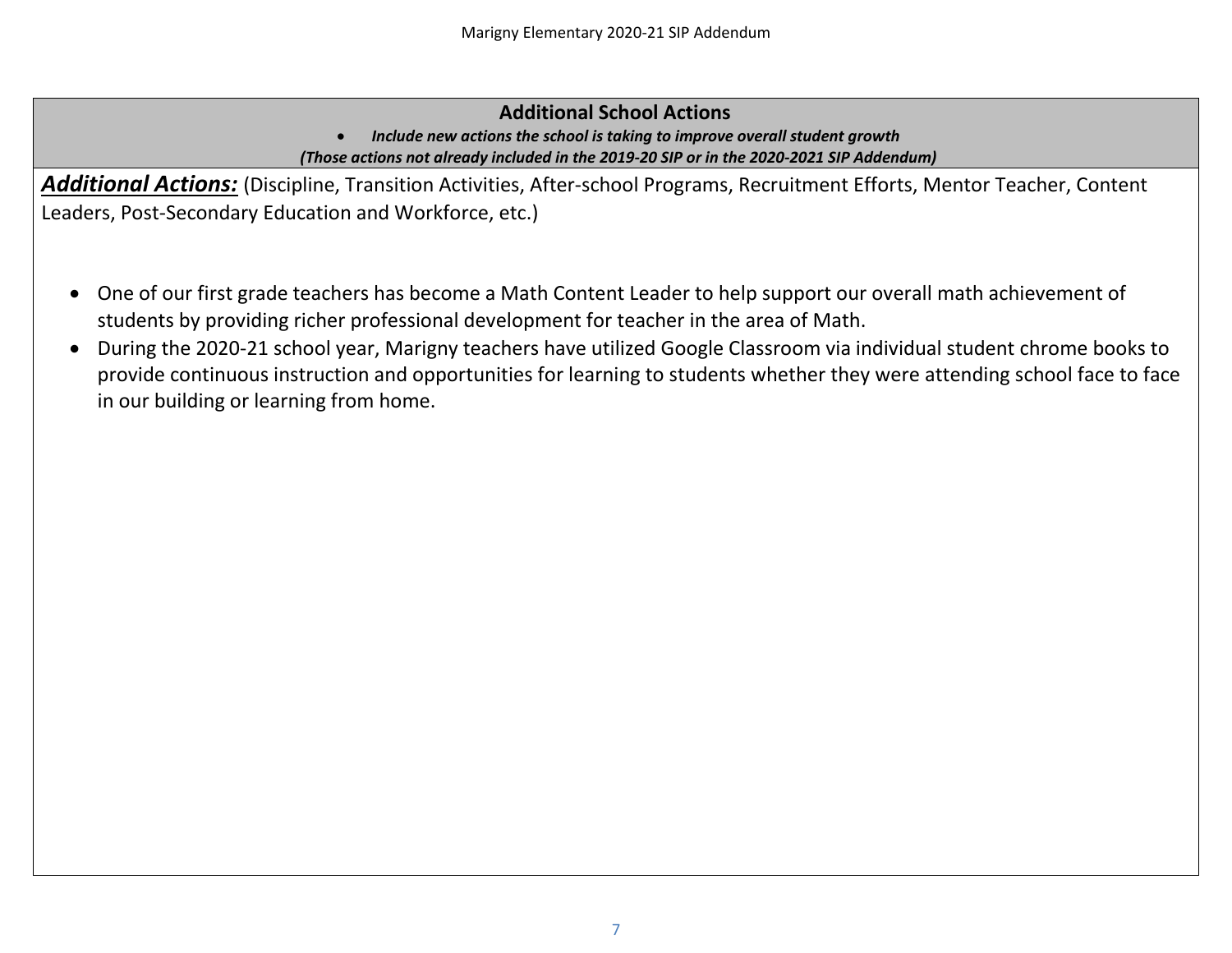# **Additional School Actions**

• *Include new actions the school is taking to improve overall student growth (Those actions not already included in the 2019-20 SIP or in the 2020-2021 SIP Addendum)*

*Additional Actions:* (Discipline, Transition Activities, After-school Programs, Recruitment Efforts, Mentor Teacher, Content Leaders, Post-Secondary Education and Workforce, etc.)

- One of our first grade teachers has become a Math Content Leader to help support our overall math achievement of students by providing richer professional development for teacher in the area of Math.
- During the 2020-21 school year, Marigny teachers have utilized Google Classroom via individual student chrome books to provide continuous instruction and opportunities for learning to students whether they were attending school face to face in our building or learning from home.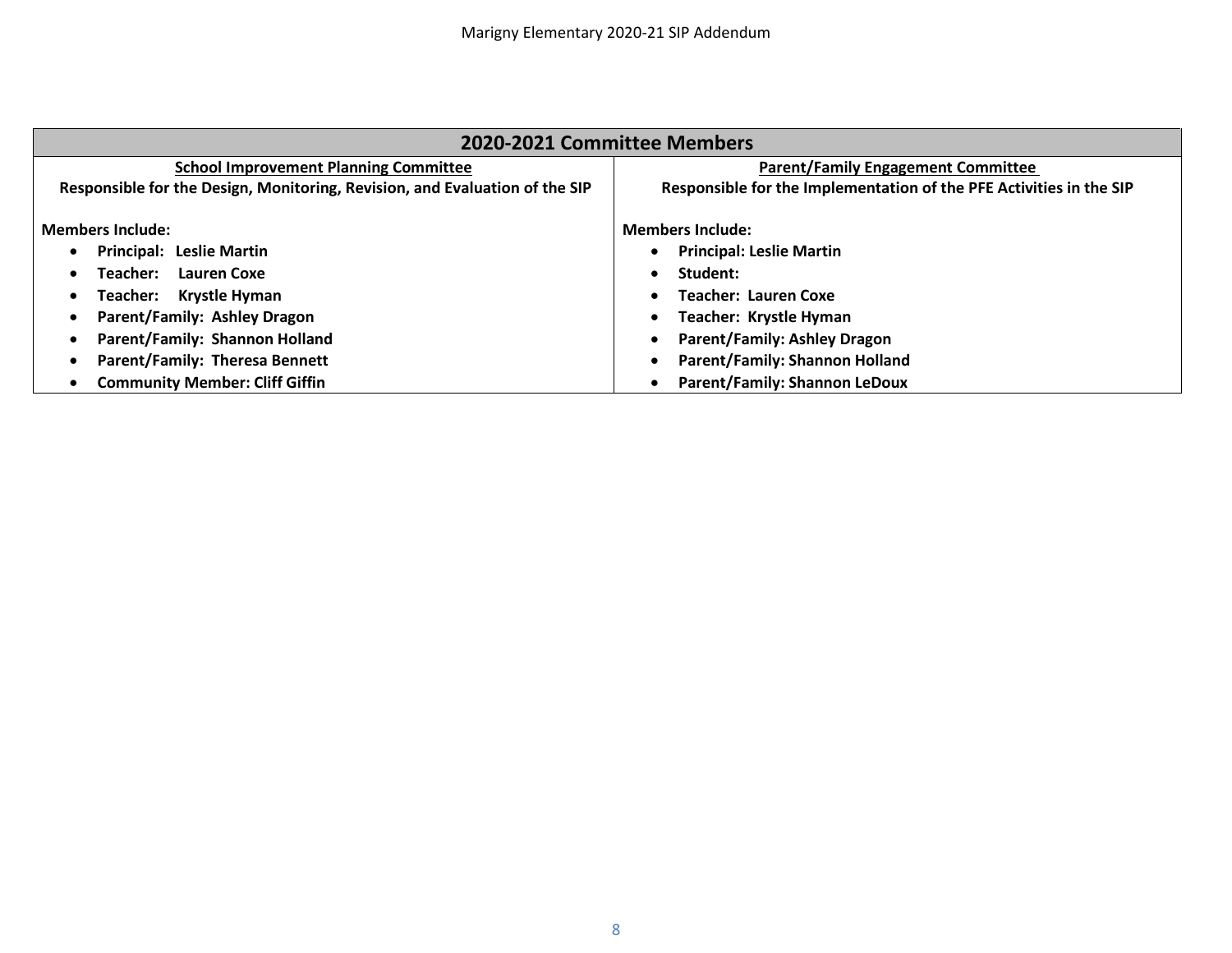| 2020-2021 Committee Members                                                 |                                                                     |
|-----------------------------------------------------------------------------|---------------------------------------------------------------------|
| <b>School Improvement Planning Committee</b>                                | <b>Parent/Family Engagement Committee</b>                           |
| Responsible for the Design, Monitoring, Revision, and Evaluation of the SIP | Responsible for the Implementation of the PFE Activities in the SIP |
| <b>Members Include:</b>                                                     | <b>Members Include:</b>                                             |
| <b>Principal: Leslie Martin</b>                                             | <b>Principal: Leslie Martin</b>                                     |
| <b>Lauren Coxe</b><br>Teacher:                                              | Student:                                                            |
| Krystle Hyman<br>Teacher:                                                   | <b>Teacher: Lauren Coxe</b>                                         |
| Parent/Family: Ashley Dragon                                                | Teacher: Krystle Hyman                                              |
| Parent/Family: Shannon Holland                                              | <b>Parent/Family: Ashley Dragon</b>                                 |
| <b>Parent/Family: Theresa Bennett</b>                                       | <b>Parent/Family: Shannon Holland</b>                               |
| <b>Community Member: Cliff Giffin</b>                                       | <b>Parent/Family: Shannon LeDoux</b>                                |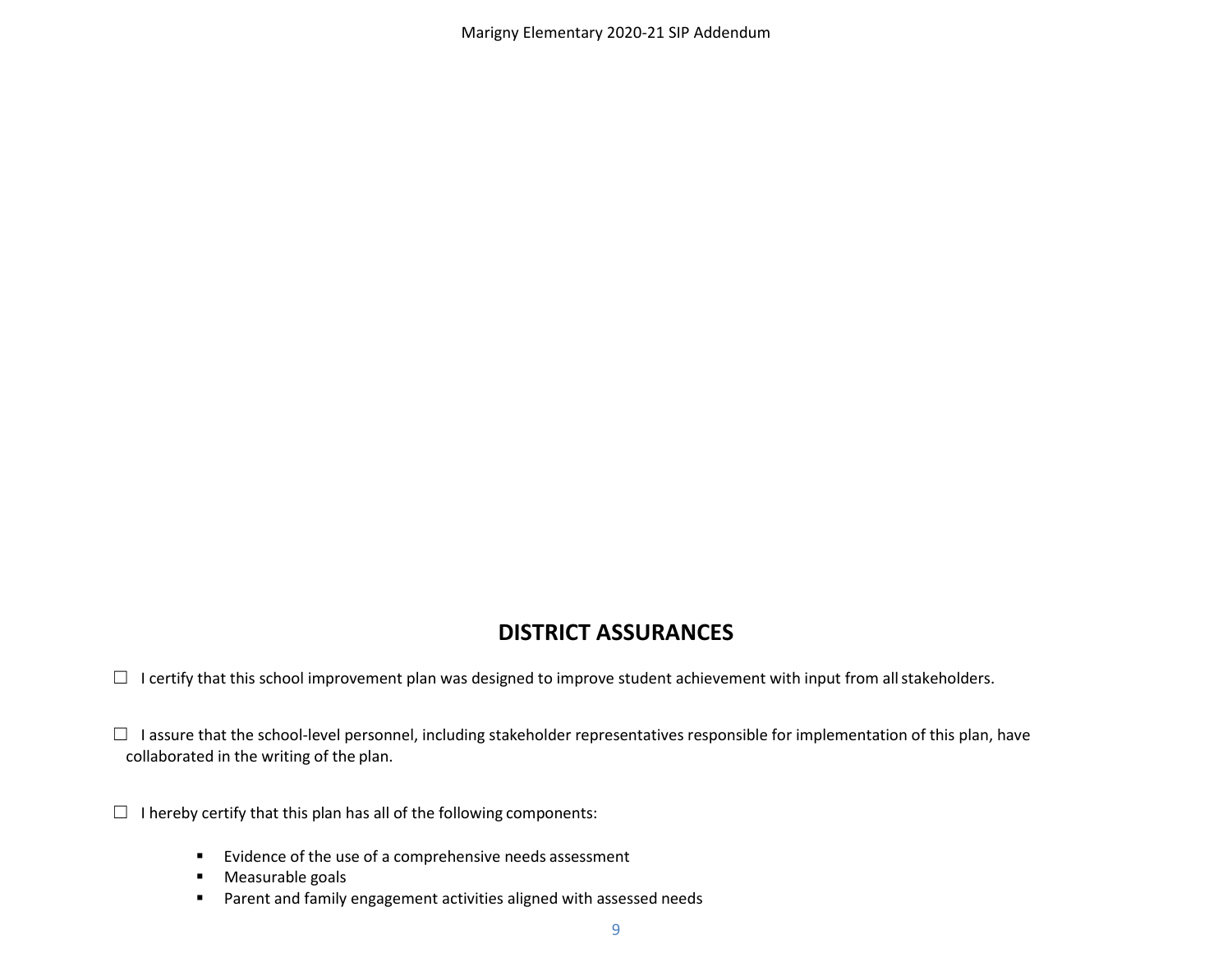Marigny Elementary 2020-21 SIP Addendum

# **DISTRICT ASSURANCES**

 $\Box$  I certify that this school improvement plan was designed to improve student achievement with input from all stakeholders.

□ I assure that the school-level personnel, including stakeholder representatives responsible for implementation of this plan, have collaborated in the writing of the plan.

- $\Box$  I hereby certify that this plan has all of the following components:
	- **Evidence of the use of a comprehensive needs assessment**
	- **Measurable goals**
	- **Parent and family engagement activities aligned with assessed needs**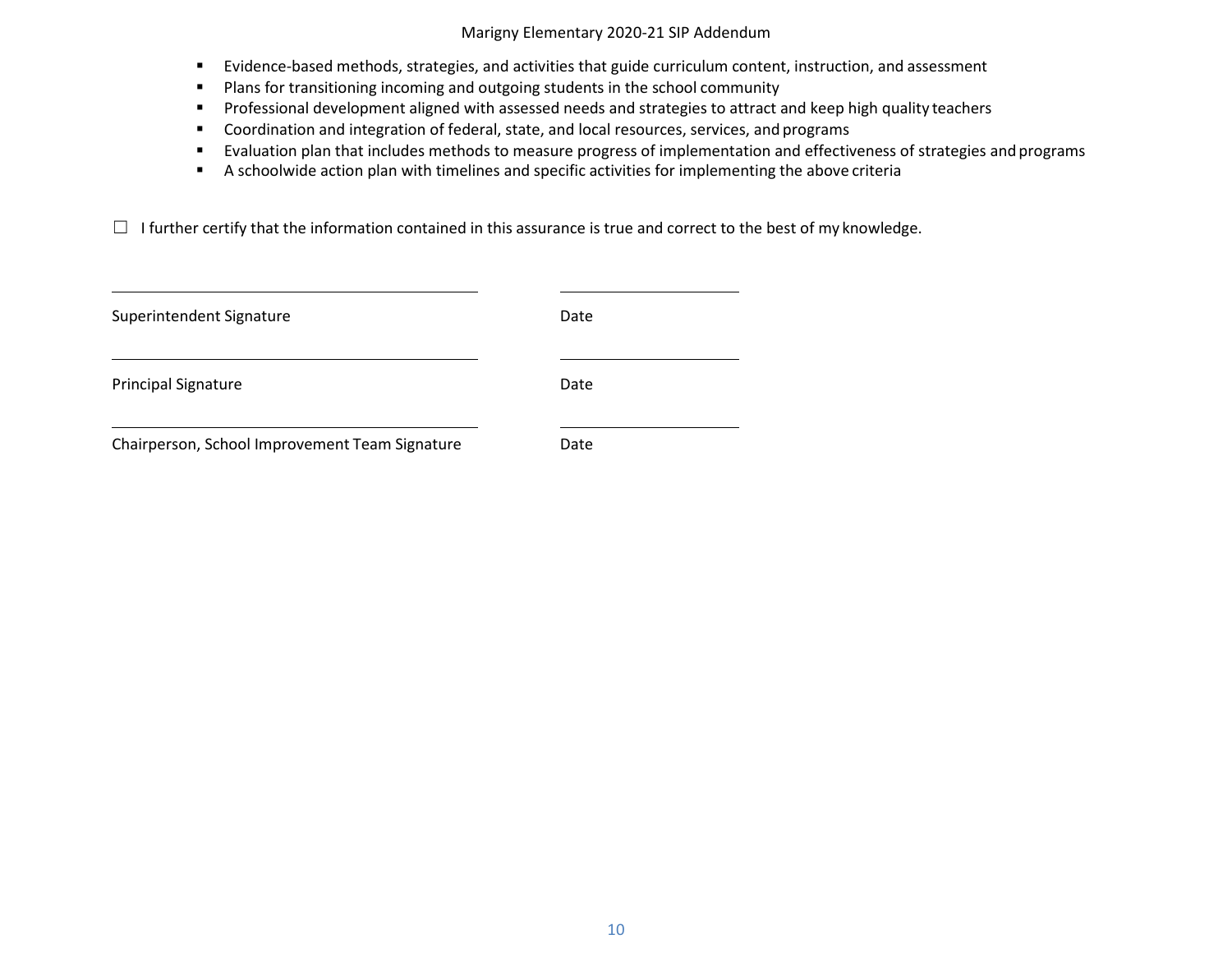## Marigny Elementary 2020-21 SIP Addendum

- Evidence-based methods, strategies, and activities that guide curriculum content, instruction, and assessment
- **Plans for transitioning incoming and outgoing students in the school community**
- **Professional development aligned with assessed needs and strategies to attract and keep high quality teachers**
- **Coordination and integration of federal, state, and local resources, services, and programs**
- Evaluation plan that includes methods to measure progress of implementation and effectiveness of strategies and programs
- A schoolwide action plan with timelines and specific activities for implementing the above criteria

 $\Box$  I further certify that the information contained in this assurance is true and correct to the best of my knowledge.

| Superintendent Signature                       | Date |  |
|------------------------------------------------|------|--|
| <b>Principal Signature</b>                     | Date |  |
| Chairperson, School Improvement Team Signature | Date |  |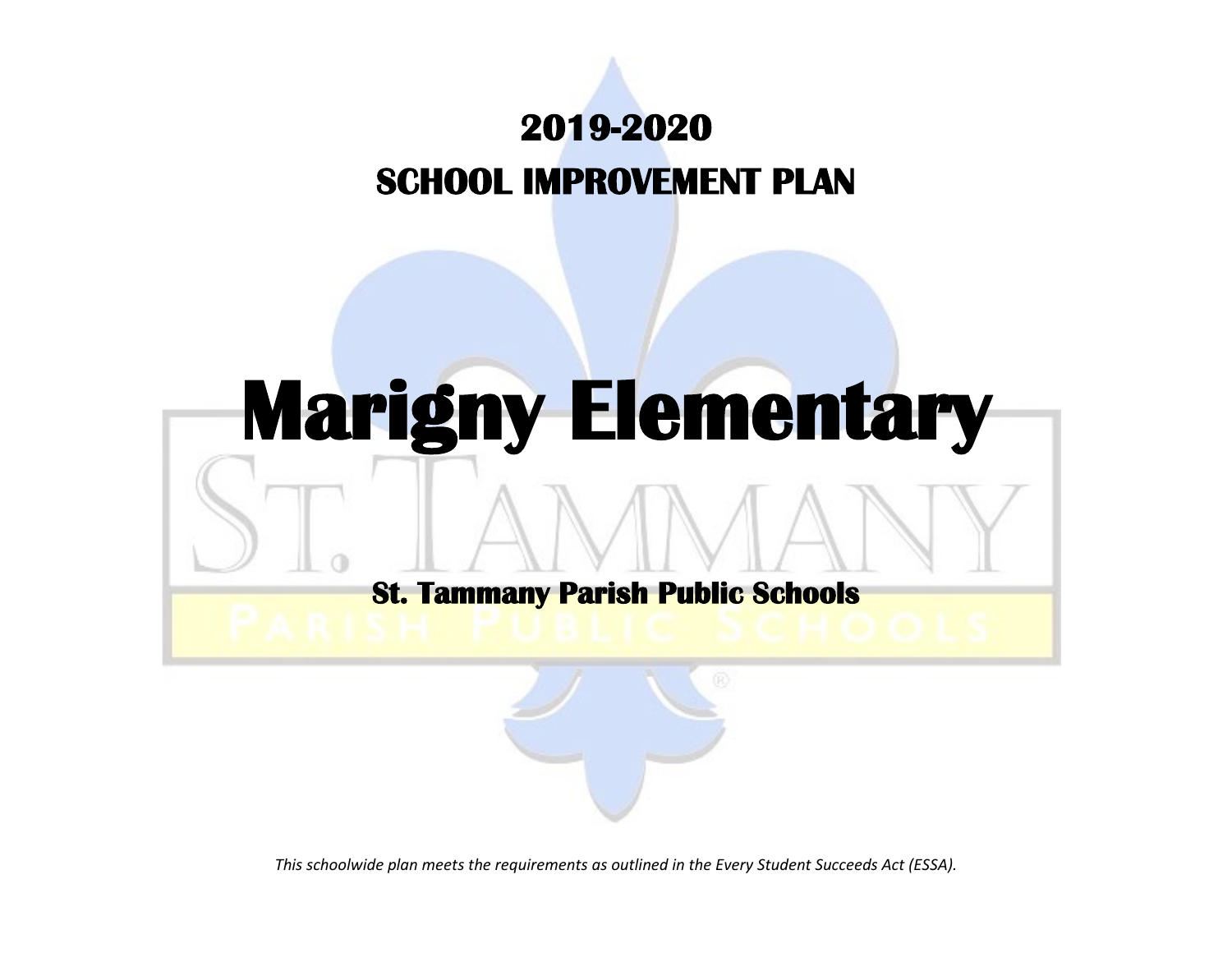# **2019-2020 SCHOOL IMPROVEMENT PLAN**

# **Marigny Elementary St. Tammany Parish Public Schools**

*This schoolwide plan meets the requirements as outlined in the Every Student Succeeds Act (ESSA).*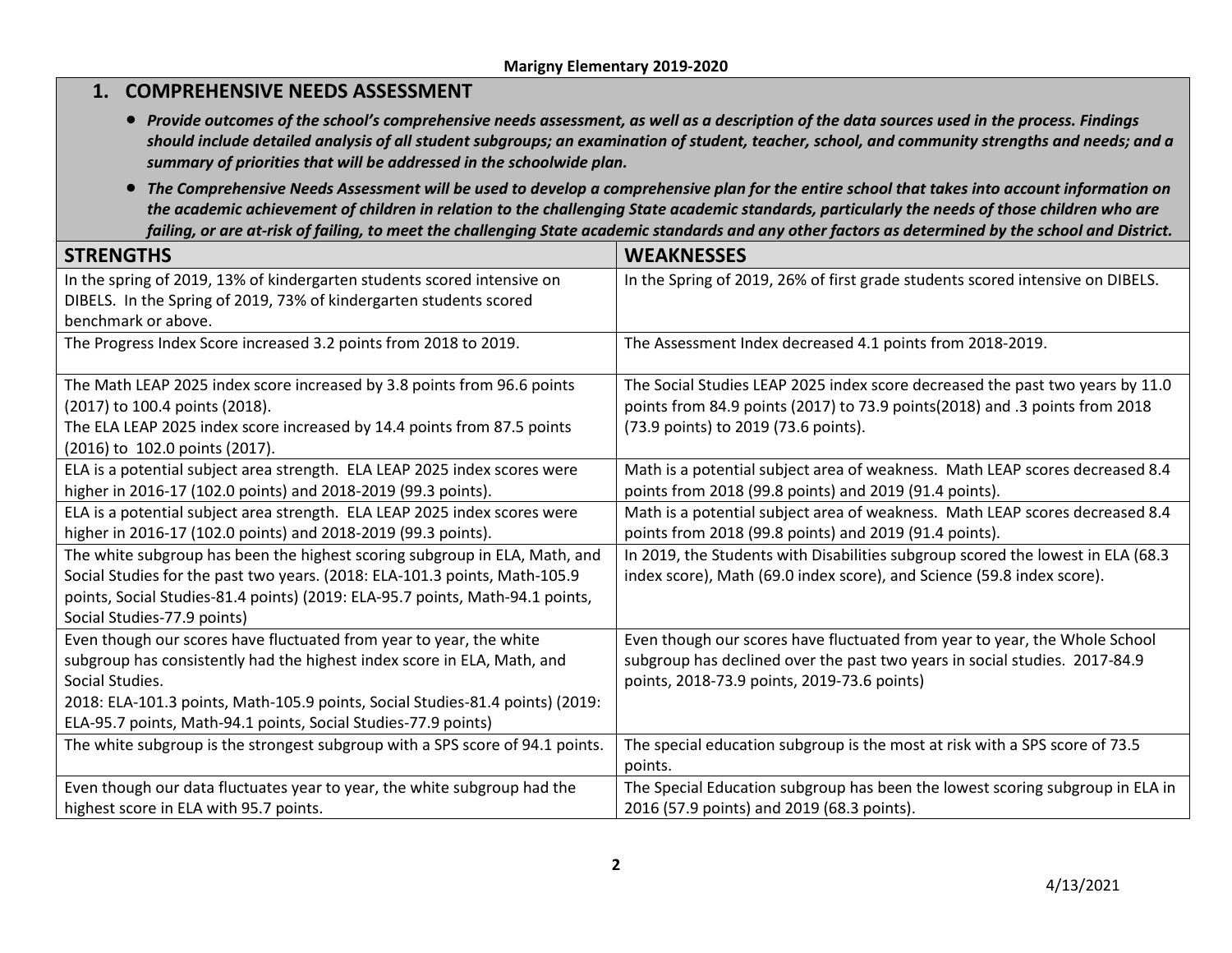| 1. COMPREHENSIVE NEEDS ASSESSMENT                                                                                                                                                                                                                                                                                    |                                                                                                                                                                                                                                                                                                                                                                                                                                                          |
|----------------------------------------------------------------------------------------------------------------------------------------------------------------------------------------------------------------------------------------------------------------------------------------------------------------------|----------------------------------------------------------------------------------------------------------------------------------------------------------------------------------------------------------------------------------------------------------------------------------------------------------------------------------------------------------------------------------------------------------------------------------------------------------|
| summary of priorities that will be addressed in the schoolwide plan.                                                                                                                                                                                                                                                 | • Provide outcomes of the school's comprehensive needs assessment, as well as a description of the data sources used in the process. Findings<br>should include detailed analysis of all student subgroups; an examination of student, teacher, school, and community strengths and needs; and a                                                                                                                                                         |
|                                                                                                                                                                                                                                                                                                                      | • The Comprehensive Needs Assessment will be used to develop a comprehensive plan for the entire school that takes into account information on<br>the academic achievement of children in relation to the challenging State academic standards, particularly the needs of those children who are<br>failing, or are at-risk of failing, to meet the challenging State academic standards and any other factors as determined by the school and District. |
| <b>STRENGTHS</b>                                                                                                                                                                                                                                                                                                     | <b>WEAKNESSES</b>                                                                                                                                                                                                                                                                                                                                                                                                                                        |
| In the spring of 2019, 13% of kindergarten students scored intensive on<br>DIBELS. In the Spring of 2019, 73% of kindergarten students scored<br>benchmark or above.                                                                                                                                                 | In the Spring of 2019, 26% of first grade students scored intensive on DIBELS.                                                                                                                                                                                                                                                                                                                                                                           |
| The Progress Index Score increased 3.2 points from 2018 to 2019.                                                                                                                                                                                                                                                     | The Assessment Index decreased 4.1 points from 2018-2019.                                                                                                                                                                                                                                                                                                                                                                                                |
| The Math LEAP 2025 index score increased by 3.8 points from 96.6 points<br>(2017) to 100.4 points (2018).<br>The ELA LEAP 2025 index score increased by 14.4 points from 87.5 points<br>(2016) to 102.0 points (2017).                                                                                               | The Social Studies LEAP 2025 index score decreased the past two years by 11.0<br>points from 84.9 points (2017) to 73.9 points (2018) and .3 points from 2018<br>(73.9 points) to 2019 (73.6 points).                                                                                                                                                                                                                                                    |
| ELA is a potential subject area strength. ELA LEAP 2025 index scores were<br>higher in 2016-17 (102.0 points) and 2018-2019 (99.3 points).                                                                                                                                                                           | Math is a potential subject area of weakness. Math LEAP scores decreased 8.4<br>points from 2018 (99.8 points) and 2019 (91.4 points).                                                                                                                                                                                                                                                                                                                   |
| ELA is a potential subject area strength. ELA LEAP 2025 index scores were<br>higher in 2016-17 (102.0 points) and 2018-2019 (99.3 points).                                                                                                                                                                           | Math is a potential subject area of weakness. Math LEAP scores decreased 8.4<br>points from 2018 (99.8 points) and 2019 (91.4 points).                                                                                                                                                                                                                                                                                                                   |
| The white subgroup has been the highest scoring subgroup in ELA, Math, and<br>Social Studies for the past two years. (2018: ELA-101.3 points, Math-105.9<br>points, Social Studies-81.4 points) (2019: ELA-95.7 points, Math-94.1 points,<br>Social Studies-77.9 points)                                             | In 2019, the Students with Disabilities subgroup scored the lowest in ELA (68.3)<br>index score), Math (69.0 index score), and Science (59.8 index score).                                                                                                                                                                                                                                                                                               |
| Even though our scores have fluctuated from year to year, the white<br>subgroup has consistently had the highest index score in ELA, Math, and<br>Social Studies.<br>2018: ELA-101.3 points, Math-105.9 points, Social Studies-81.4 points) (2019:<br>ELA-95.7 points, Math-94.1 points, Social Studies-77.9 points) | Even though our scores have fluctuated from year to year, the Whole School<br>subgroup has declined over the past two years in social studies. 2017-84.9<br>points, 2018-73.9 points, 2019-73.6 points)                                                                                                                                                                                                                                                  |
| The white subgroup is the strongest subgroup with a SPS score of 94.1 points.                                                                                                                                                                                                                                        | The special education subgroup is the most at risk with a SPS score of 73.5<br>points.                                                                                                                                                                                                                                                                                                                                                                   |
| Even though our data fluctuates year to year, the white subgroup had the<br>highest score in ELA with 95.7 points.                                                                                                                                                                                                   | The Special Education subgroup has been the lowest scoring subgroup in ELA in<br>2016 (57.9 points) and 2019 (68.3 points).                                                                                                                                                                                                                                                                                                                              |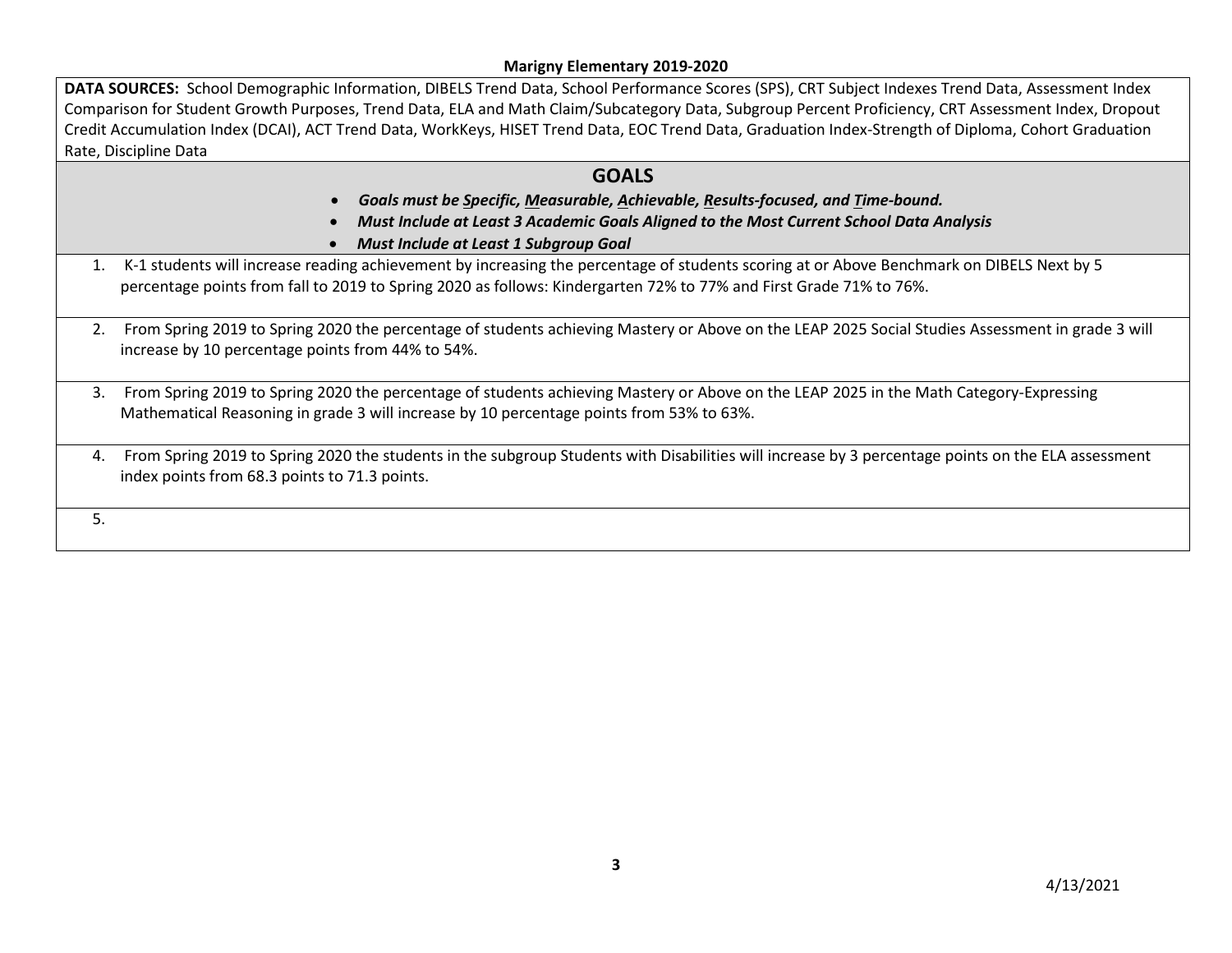DATA SOURCES: School Demographic Information, DIBELS Trend Data, School Performance Scores (SPS), CRT Subject Indexes Trend Data, Assessment Index Comparison for Student Growth Purposes, Trend Data, ELA and Math Claim/Subcategory Data, Subgroup Percent Proficiency, CRT Assessment Index, Dropout Credit Accumulation Index (DCAI), ACT Trend Data, WorkKeys, HISET Trend Data, EOC Trend Data, Graduation Index-Strength of Diploma, Cohort Graduation Rate, Discipline Data

# **GOALS**

- *Goals must be Specific, Measurable, Achievable, Results-focused, and Time-bound.*
- *Must Include at Least 3 Academic Goals Aligned to the Most Current School Data Analysis*
- *Must Include at Least 1 Subgroup Goal*
- 1. K-1 students will increase reading achievement by increasing the percentage of students scoring at or Above Benchmark on DIBELS Next by 5 percentage points from fall to 2019 to Spring 2020 as follows: Kindergarten 72% to 77% and First Grade 71% to 76%.
- 2. From Spring 2019 to Spring 2020 the percentage of students achieving Mastery or Above on the LEAP 2025 Social Studies Assessment in grade 3 will increase by 10 percentage points from 44% to 54%.
- 3. From Spring 2019 to Spring 2020 the percentage of students achieving Mastery or Above on the LEAP 2025 in the Math Category-Expressing Mathematical Reasoning in grade 3 will increase by 10 percentage points from 53% to 63%.
- 4. From Spring 2019 to Spring 2020 the students in the subgroup Students with Disabilities will increase by 3 percentage points on the ELA assessment index points from 68.3 points to 71.3 points.

5.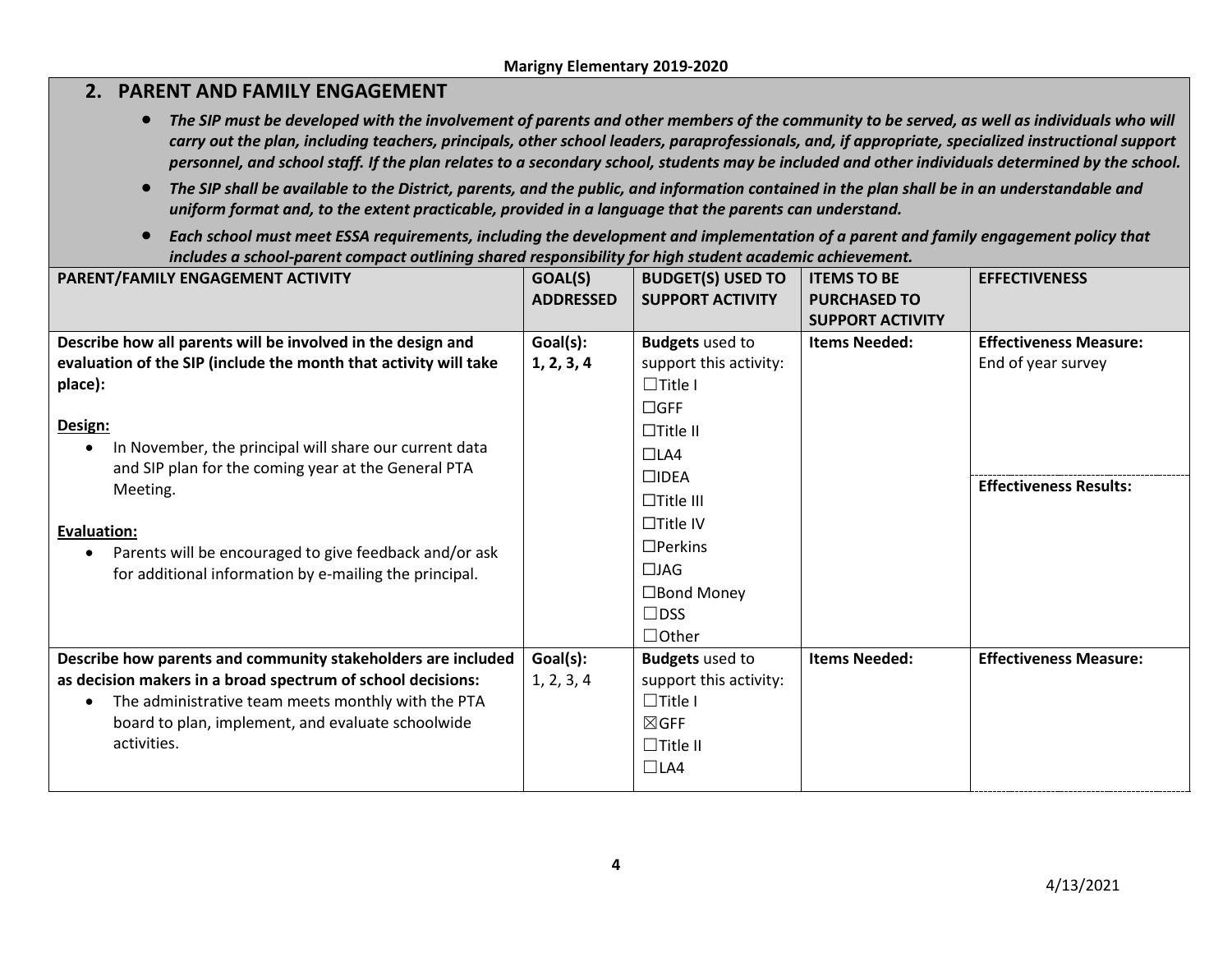# **2. PARENT AND FAMILY ENGAGEMENT**

- The SIP must be developed with the involvement of parents and other members of the community to be served, as well as individuals who will *carry out the plan, including teachers, principals, other school leaders, paraprofessionals, and, if appropriate, specialized instructional support personnel, and school staff. If the plan relates to a secondary school, students may be included and other individuals determined by the school.*
- *The SIP shall be available to the District, parents, and the public, and information contained in the plan shall be in an understandable and uniform format and, to the extent practicable, provided in a language that the parents can understand.*
- *Each school must meet ESSA requirements, including the development and implementation of a parent and family engagement policy that includes a school-parent compact outlining shared responsibility for high student academic achievement.*

| PARENT/FAMILY ENGAGEMENT ACTIVITY                                   | GOAL(S)          | <b>BUDGET(S) USED TO</b> | <b>ITEMS TO BE</b>      | <b>EFFECTIVENESS</b>          |
|---------------------------------------------------------------------|------------------|--------------------------|-------------------------|-------------------------------|
|                                                                     | <b>ADDRESSED</b> | <b>SUPPORT ACTIVITY</b>  | <b>PURCHASED TO</b>     |                               |
|                                                                     |                  |                          | <b>SUPPORT ACTIVITY</b> |                               |
| Describe how all parents will be involved in the design and         | Goal(s):         | <b>Budgets</b> used to   | <b>Items Needed:</b>    | <b>Effectiveness Measure:</b> |
| evaluation of the SIP (include the month that activity will take    | 1, 2, 3, 4       | support this activity:   |                         | End of year survey            |
| place):                                                             |                  | $\Box$ Title I           |                         |                               |
|                                                                     |                  | $\Box$ GFF               |                         |                               |
| Design:                                                             |                  | $\Box$ Title II          |                         |                               |
| In November, the principal will share our current data<br>$\bullet$ |                  | $\Box$ LA4               |                         |                               |
| and SIP plan for the coming year at the General PTA                 |                  | $\square$ IDEA           |                         | <b>Effectiveness Results:</b> |
| Meeting.                                                            |                  | $\Box$ Title III         |                         |                               |
| <b>Evaluation:</b>                                                  |                  | $\Box$ Title IV          |                         |                               |
| Parents will be encouraged to give feedback and/or ask<br>٠         |                  | $\Box$ Perkins           |                         |                               |
| for additional information by e-mailing the principal.              |                  | $\Box$ JAG               |                         |                               |
|                                                                     |                  | $\Box$ Bond Money        |                         |                               |
|                                                                     |                  | $\Box$ DSS               |                         |                               |
|                                                                     |                  | $\Box$ Other             |                         |                               |
| Describe how parents and community stakeholders are included        | Goal(s):         | <b>Budgets</b> used to   | <b>Items Needed:</b>    | <b>Effectiveness Measure:</b> |
| as decision makers in a broad spectrum of school decisions:         | 1, 2, 3, 4       | support this activity:   |                         |                               |
| The administrative team meets monthly with the PTA<br>$\bullet$     |                  | $\Box$ Title I           |                         |                               |
| board to plan, implement, and evaluate schoolwide                   |                  | $\boxtimes$ GFF          |                         |                               |
| activities.                                                         |                  | $\Box$ Title II          |                         |                               |
|                                                                     |                  | $\Box$ LA4               |                         |                               |
|                                                                     |                  |                          |                         |                               |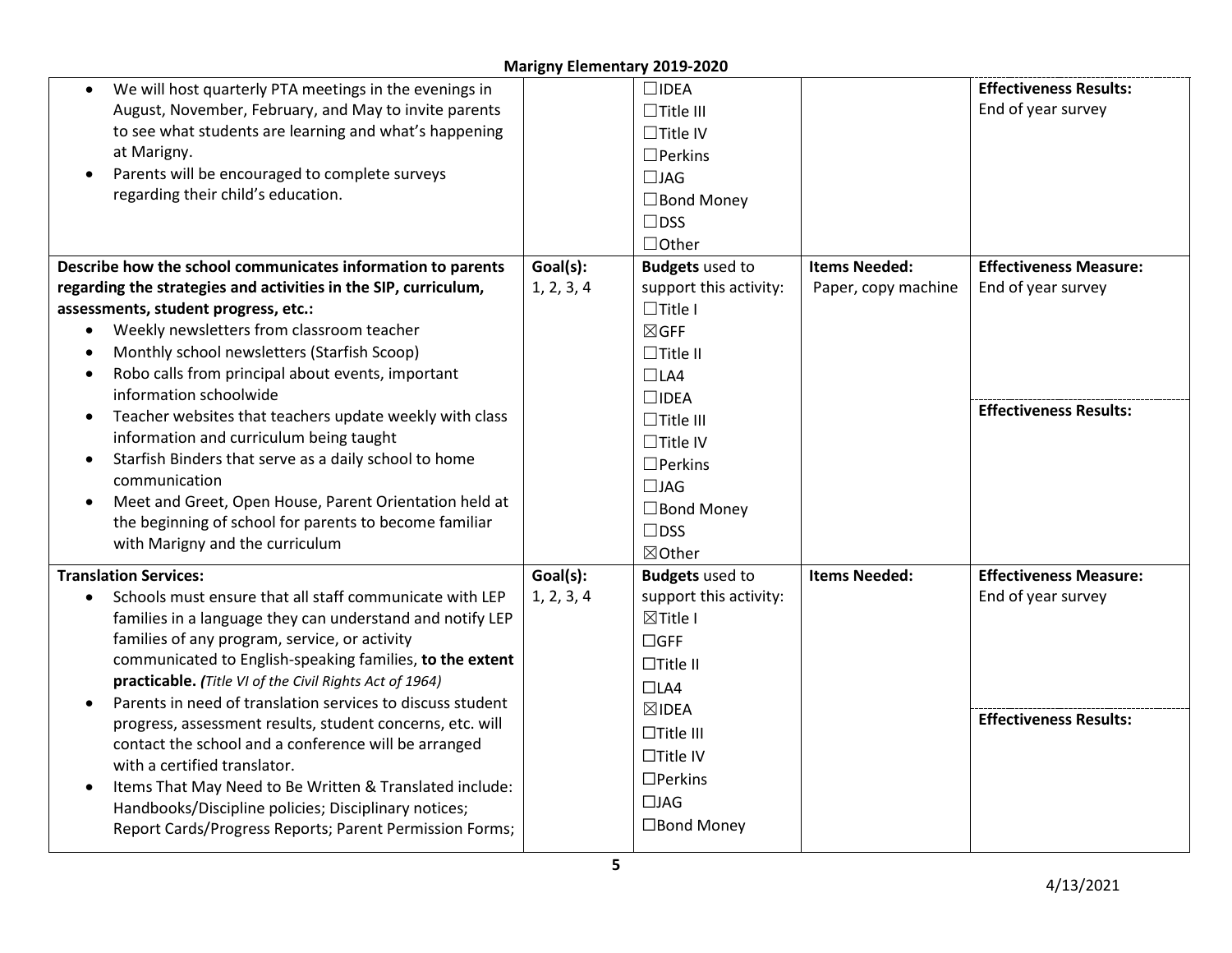| We will host quarterly PTA meetings in the evenings in<br>August, November, February, and May to invite parents<br>to see what students are learning and what's happening<br>at Marigny.<br>Parents will be encouraged to complete surveys<br>regarding their child's education. |            | $\square$ IDEA<br>$\Box$ Title III<br>$\Box$ Title IV<br>$\Box$ Perkins<br>$\Box$ JAG<br>$\Box$ Bond Money<br>$\square$ DSS<br>$\Box$ Other |                      | <b>Effectiveness Results:</b><br>End of year survey |
|----------------------------------------------------------------------------------------------------------------------------------------------------------------------------------------------------------------------------------------------------------------------------------|------------|---------------------------------------------------------------------------------------------------------------------------------------------|----------------------|-----------------------------------------------------|
| Describe how the school communicates information to parents                                                                                                                                                                                                                      | Goal(s):   | <b>Budgets</b> used to                                                                                                                      | <b>Items Needed:</b> | <b>Effectiveness Measure:</b>                       |
| regarding the strategies and activities in the SIP, curriculum,                                                                                                                                                                                                                  | 1, 2, 3, 4 | support this activity:                                                                                                                      | Paper, copy machine  | End of year survey                                  |
| assessments, student progress, etc.:                                                                                                                                                                                                                                             |            | $\Box$ Title I                                                                                                                              |                      |                                                     |
| Weekly newsletters from classroom teacher<br>$\bullet$                                                                                                                                                                                                                           |            | $\boxtimes$ GFF                                                                                                                             |                      |                                                     |
| Monthly school newsletters (Starfish Scoop)                                                                                                                                                                                                                                      |            | $\Box$ Title II                                                                                                                             |                      |                                                     |
| Robo calls from principal about events, important                                                                                                                                                                                                                                |            | $\Box$ LA4                                                                                                                                  |                      |                                                     |
| information schoolwide                                                                                                                                                                                                                                                           |            | $\square$ IDEA                                                                                                                              |                      | <b>Effectiveness Results:</b>                       |
| Teacher websites that teachers update weekly with class                                                                                                                                                                                                                          |            | $\Box$ Title III                                                                                                                            |                      |                                                     |
| information and curriculum being taught                                                                                                                                                                                                                                          |            | $\Box$ Title IV                                                                                                                             |                      |                                                     |
| Starfish Binders that serve as a daily school to home<br>communication                                                                                                                                                                                                           |            | $\Box$ Perkins                                                                                                                              |                      |                                                     |
| Meet and Greet, Open House, Parent Orientation held at                                                                                                                                                                                                                           |            | $\Box$ JAG                                                                                                                                  |                      |                                                     |
| the beginning of school for parents to become familiar                                                                                                                                                                                                                           |            | $\Box$ Bond Money                                                                                                                           |                      |                                                     |
| with Marigny and the curriculum                                                                                                                                                                                                                                                  |            | $\square$ DSS                                                                                                                               |                      |                                                     |
|                                                                                                                                                                                                                                                                                  |            | ⊠Other                                                                                                                                      |                      |                                                     |
| <b>Translation Services:</b>                                                                                                                                                                                                                                                     | Goal(s):   | <b>Budgets</b> used to                                                                                                                      | <b>Items Needed:</b> | <b>Effectiveness Measure:</b>                       |
| Schools must ensure that all staff communicate with LEP<br>$\bullet$                                                                                                                                                                                                             | 1, 2, 3, 4 | support this activity:                                                                                                                      |                      | End of year survey                                  |
| families in a language they can understand and notify LEP                                                                                                                                                                                                                        |            | $\boxtimes$ Title I                                                                                                                         |                      |                                                     |
| families of any program, service, or activity<br>communicated to English-speaking families, to the extent                                                                                                                                                                        |            | $\Box$ GFF                                                                                                                                  |                      |                                                     |
| practicable. (Title VI of the Civil Rights Act of 1964)                                                                                                                                                                                                                          |            | $\Box$ Title II                                                                                                                             |                      |                                                     |
| Parents in need of translation services to discuss student                                                                                                                                                                                                                       |            | $\Box$ LA4                                                                                                                                  |                      |                                                     |
| progress, assessment results, student concerns, etc. will                                                                                                                                                                                                                        |            | $\boxtimes$ IDEA                                                                                                                            |                      | <b>Effectiveness Results:</b>                       |
| contact the school and a conference will be arranged                                                                                                                                                                                                                             |            | $\Box$ Title III                                                                                                                            |                      |                                                     |
| with a certified translator.                                                                                                                                                                                                                                                     |            | $\Box$ Title IV                                                                                                                             |                      |                                                     |
| Items That May Need to Be Written & Translated include:                                                                                                                                                                                                                          |            | $\Box$ Perkins                                                                                                                              |                      |                                                     |
| Handbooks/Discipline policies; Disciplinary notices;                                                                                                                                                                                                                             |            | $\Box$ JAG                                                                                                                                  |                      |                                                     |
| Report Cards/Progress Reports; Parent Permission Forms;                                                                                                                                                                                                                          |            | □Bond Money                                                                                                                                 |                      |                                                     |
|                                                                                                                                                                                                                                                                                  |            |                                                                                                                                             |                      |                                                     |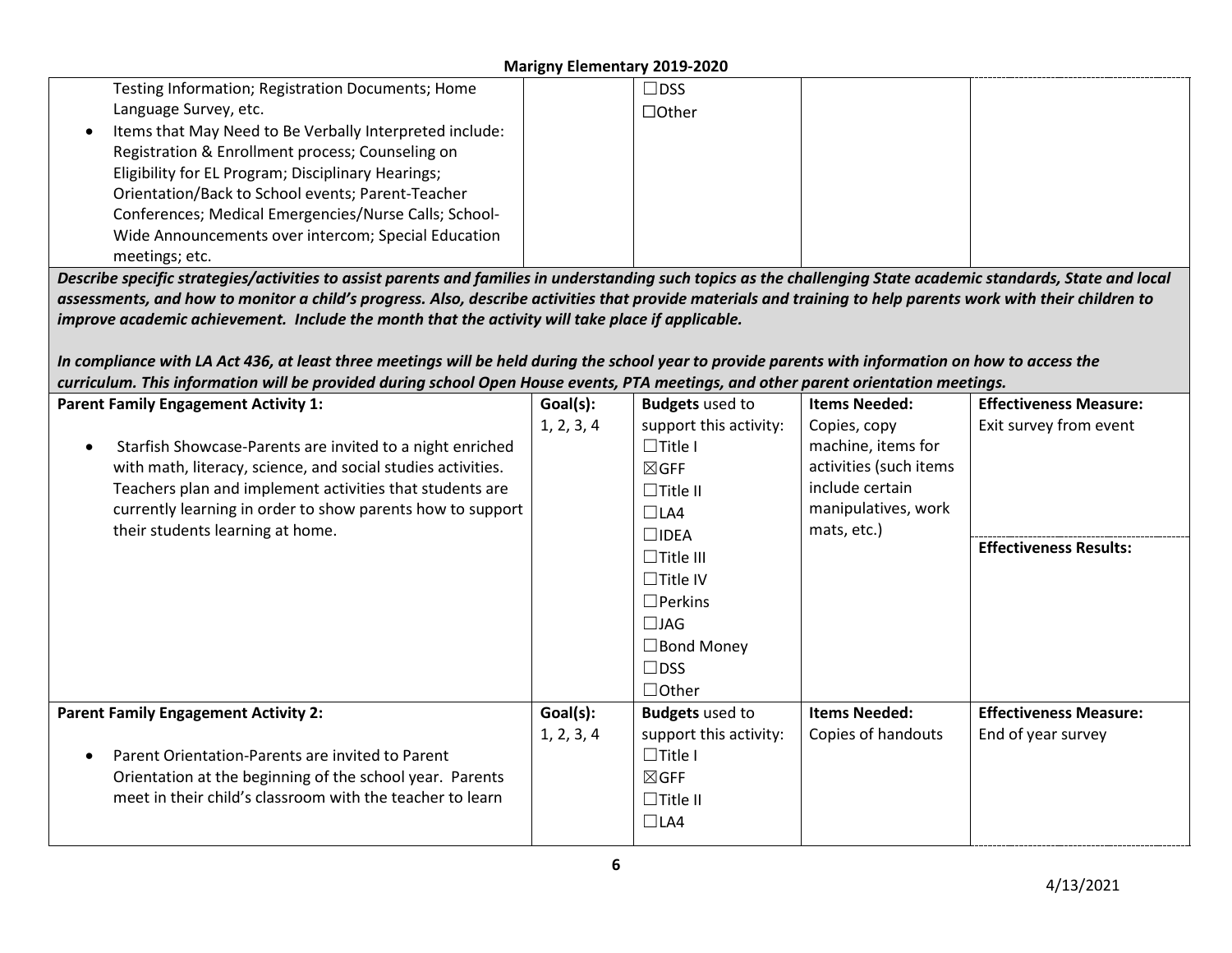| Testing Information; Registration Documents; Home                                                                                                                |            | $\square$ DSS                 |                        |                               |
|------------------------------------------------------------------------------------------------------------------------------------------------------------------|------------|-------------------------------|------------------------|-------------------------------|
| Language Survey, etc.                                                                                                                                            |            | $\Box$ Other                  |                        |                               |
| Items that May Need to Be Verbally Interpreted include:                                                                                                          |            |                               |                        |                               |
| Registration & Enrollment process; Counseling on                                                                                                                 |            |                               |                        |                               |
| Eligibility for EL Program; Disciplinary Hearings;                                                                                                               |            |                               |                        |                               |
| Orientation/Back to School events; Parent-Teacher                                                                                                                |            |                               |                        |                               |
| Conferences; Medical Emergencies/Nurse Calls; School-                                                                                                            |            |                               |                        |                               |
| Wide Announcements over intercom; Special Education                                                                                                              |            |                               |                        |                               |
| meetings; etc.                                                                                                                                                   |            |                               |                        |                               |
| Describe specific strategies/activities to assist parents and families in understanding such topics as the challenging State academic standards, State and local |            |                               |                        |                               |
| assessments, and how to monitor a child's progress. Also, describe activities that provide materials and training to help parents work with their children to    |            |                               |                        |                               |
| improve academic achievement. Include the month that the activity will take place if applicable.                                                                 |            |                               |                        |                               |
|                                                                                                                                                                  |            |                               |                        |                               |
| In compliance with LA Act 436, at least three meetings will be held during the school year to provide parents with information on how to access the              |            |                               |                        |                               |
| curriculum. This information will be provided during school Open House events, PTA meetings, and other parent orientation meetings.                              |            |                               |                        |                               |
| <b>Parent Family Engagement Activity 1:</b>                                                                                                                      | Goal(s):   | <b>Budgets</b> used to        | <b>Items Needed:</b>   | <b>Effectiveness Measure:</b> |
|                                                                                                                                                                  | 1, 2, 3, 4 | support this activity:        | Copies, copy           | Exit survey from event        |
| Starfish Showcase-Parents are invited to a night enriched<br>$\bullet$                                                                                           |            | $\Box$ Title I                | machine, items for     |                               |
|                                                                                                                                                                  |            |                               |                        |                               |
| with math, literacy, science, and social studies activities.                                                                                                     |            | $\boxtimes$ GFF               | activities (such items |                               |
| Teachers plan and implement activities that students are                                                                                                         |            | $\Box$ Title II               | include certain        |                               |
| currently learning in order to show parents how to support                                                                                                       |            | $\Box$ LA4                    | manipulatives, work    |                               |
| their students learning at home.                                                                                                                                 |            | $\square$ IDEA                | mats, etc.)            |                               |
|                                                                                                                                                                  |            | $\Box$ Title III              |                        | <b>Effectiveness Results:</b> |
|                                                                                                                                                                  |            | $\Box$ Title IV               |                        |                               |
|                                                                                                                                                                  |            | $\Box$ Perkins                |                        |                               |
|                                                                                                                                                                  |            |                               |                        |                               |
|                                                                                                                                                                  |            | $\Box$ JAG                    |                        |                               |
|                                                                                                                                                                  |            | $\Box$ Bond Money             |                        |                               |
|                                                                                                                                                                  |            | $\square$ DSS                 |                        |                               |
|                                                                                                                                                                  |            | $\Box$ Other                  |                        |                               |
| <b>Parent Family Engagement Activity 2:</b>                                                                                                                      | Goal(s):   | <b>Budgets</b> used to        | <b>Items Needed:</b>   | <b>Effectiveness Measure:</b> |
|                                                                                                                                                                  | 1, 2, 3, 4 | support this activity:        | Copies of handouts     | End of year survey            |
| Parent Orientation-Parents are invited to Parent<br>$\bullet$                                                                                                    |            | $\Box$ Title I                |                        |                               |
| Orientation at the beginning of the school year. Parents                                                                                                         |            | $\boxtimes$ GFF               |                        |                               |
| meet in their child's classroom with the teacher to learn                                                                                                        |            | $\Box$ Title II<br>$\Box$ LA4 |                        |                               |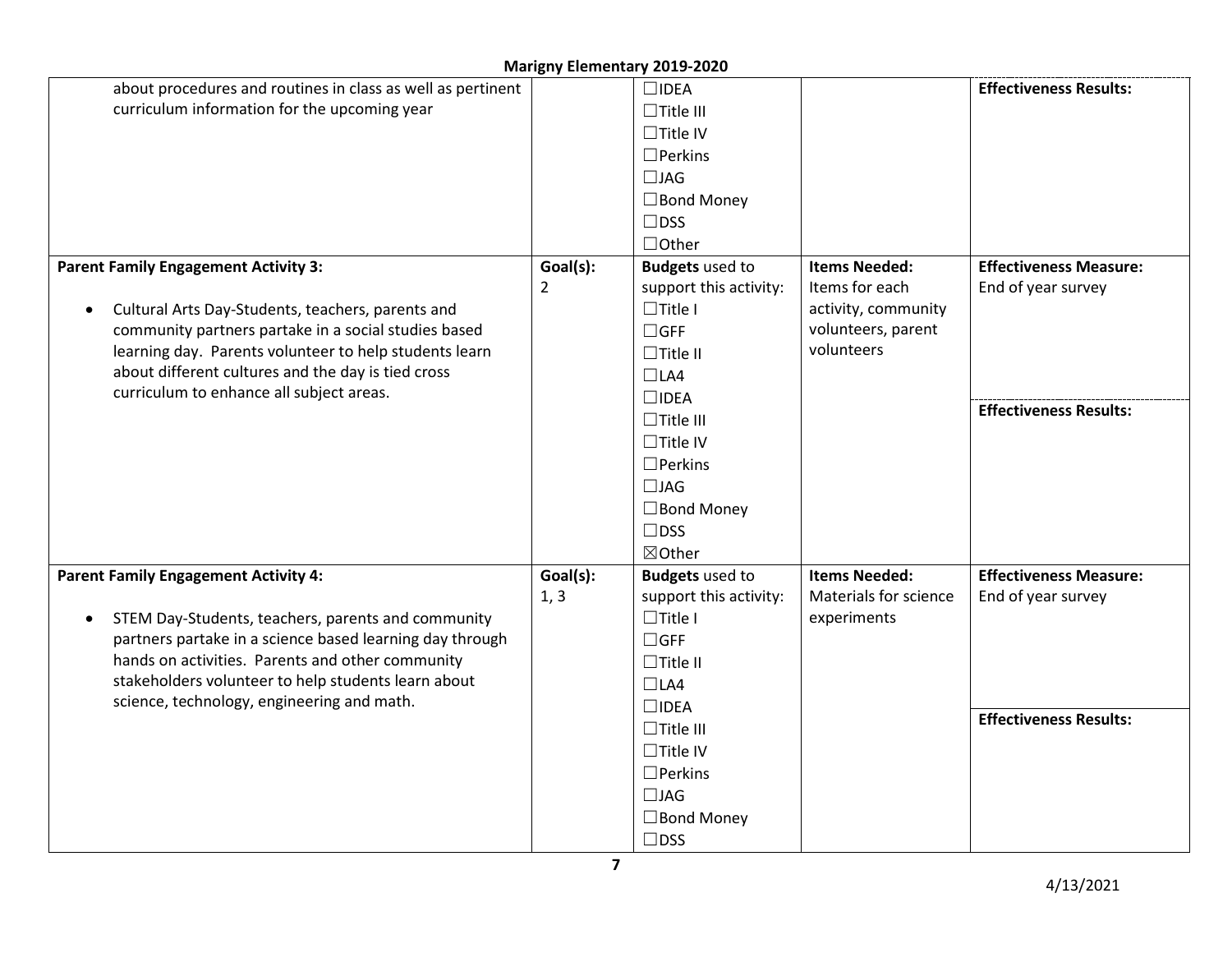| about procedures and routines in class as well as pertinent     |          | $\square$ IDEA         |                       | <b>Effectiveness Results:</b> |
|-----------------------------------------------------------------|----------|------------------------|-----------------------|-------------------------------|
| curriculum information for the upcoming year                    |          | $\Box$ Title III       |                       |                               |
|                                                                 |          | $\Box$ Title IV        |                       |                               |
|                                                                 |          | $\Box$ Perkins         |                       |                               |
|                                                                 |          | $\Box$ JAG             |                       |                               |
|                                                                 |          | $\Box$ Bond Money      |                       |                               |
|                                                                 |          | $\Box$ DSS             |                       |                               |
|                                                                 |          | $\Box$ Other           |                       |                               |
| <b>Parent Family Engagement Activity 3:</b>                     | Goal(s): | <b>Budgets</b> used to | <b>Items Needed:</b>  | <b>Effectiveness Measure:</b> |
|                                                                 | 2        | support this activity: | Items for each        | End of year survey            |
| Cultural Arts Day-Students, teachers, parents and<br>$\bullet$  |          | $\Box$ Title I         | activity, community   |                               |
| community partners partake in a social studies based            |          | $\Box$ GFF             | volunteers, parent    |                               |
| learning day. Parents volunteer to help students learn          |          | $\Box$ Title II        | volunteers            |                               |
| about different cultures and the day is tied cross              |          | $\Box$ LA4             |                       |                               |
| curriculum to enhance all subject areas.                        |          | $\square$ IDEA         |                       |                               |
|                                                                 |          | $\Box$ Title III       |                       | <b>Effectiveness Results:</b> |
|                                                                 |          | $\Box$ Title IV        |                       |                               |
|                                                                 |          | $\Box$ Perkins         |                       |                               |
|                                                                 |          | $\Box$ JAG             |                       |                               |
|                                                                 |          | $\Box$ Bond Money      |                       |                               |
|                                                                 |          | $\square$ DSS          |                       |                               |
|                                                                 |          | ⊠Other                 |                       |                               |
| <b>Parent Family Engagement Activity 4:</b>                     | Goal(s): | <b>Budgets</b> used to | <b>Items Needed:</b>  | <b>Effectiveness Measure:</b> |
|                                                                 | 1, 3     | support this activity: | Materials for science | End of year survey            |
| STEM Day-Students, teachers, parents and community<br>$\bullet$ |          | $\Box$ Title I         | experiments           |                               |
| partners partake in a science based learning day through        |          | $\Box$ GFF             |                       |                               |
| hands on activities. Parents and other community                |          | $\Box$ Title II        |                       |                               |
| stakeholders volunteer to help students learn about             |          | $\Box$ LA4             |                       |                               |
| science, technology, engineering and math.                      |          | $\square$ IDEA         |                       |                               |
|                                                                 |          | $\Box$ Title III       |                       | <b>Effectiveness Results:</b> |
|                                                                 |          | $\Box$ Title IV        |                       |                               |
|                                                                 |          | $\Box$ Perkins         |                       |                               |
|                                                                 |          | $\Box$ JAG             |                       |                               |
|                                                                 |          | $\Box$ Bond Money      |                       |                               |
|                                                                 |          | $\square$ DSS          |                       |                               |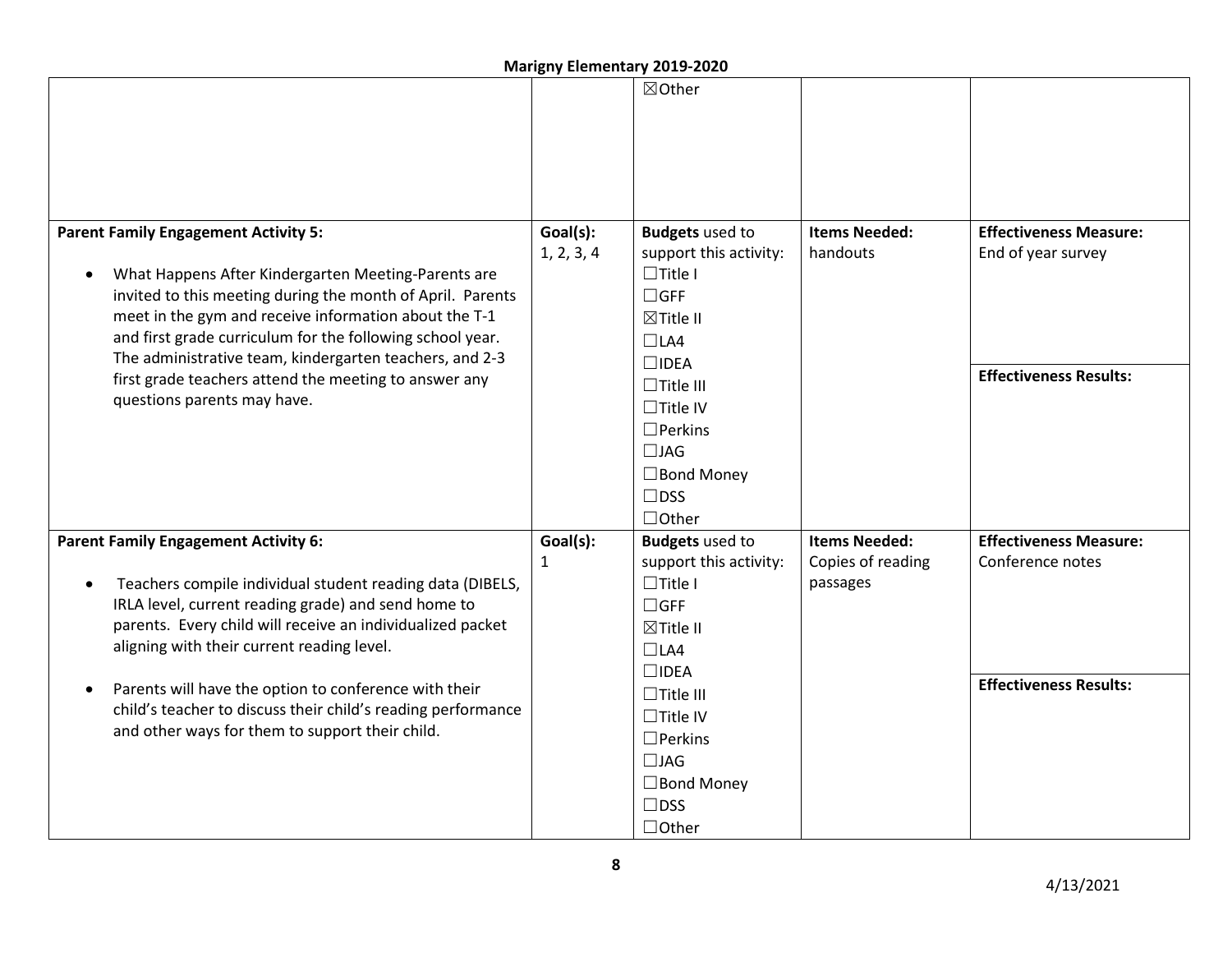|                                                                                                                                    |              | <b>IVIALIBITY LIGHTERIGHY ZUIJ-ZUZU</b> |                      |                               |
|------------------------------------------------------------------------------------------------------------------------------------|--------------|-----------------------------------------|----------------------|-------------------------------|
|                                                                                                                                    |              | ⊠Other                                  |                      |                               |
|                                                                                                                                    |              |                                         |                      |                               |
|                                                                                                                                    |              |                                         |                      |                               |
|                                                                                                                                    |              |                                         |                      |                               |
|                                                                                                                                    |              |                                         |                      |                               |
|                                                                                                                                    |              |                                         |                      |                               |
| <b>Parent Family Engagement Activity 5:</b>                                                                                        | Goal(s):     | <b>Budgets</b> used to                  | <b>Items Needed:</b> | <b>Effectiveness Measure:</b> |
|                                                                                                                                    | 1, 2, 3, 4   | support this activity:                  | handouts             | End of year survey            |
| What Happens After Kindergarten Meeting-Parents are<br>$\bullet$                                                                   |              | $\Box$ Title I                          |                      |                               |
| invited to this meeting during the month of April. Parents                                                                         |              | $\Box$ GFF                              |                      |                               |
| meet in the gym and receive information about the T-1                                                                              |              | <b>⊠Title II</b>                        |                      |                               |
| and first grade curriculum for the following school year.                                                                          |              | $\Box$ LA4                              |                      |                               |
| The administrative team, kindergarten teachers, and 2-3                                                                            |              | $\square$ IDEA                          |                      | <b>Effectiveness Results:</b> |
| first grade teachers attend the meeting to answer any                                                                              |              | $\Box$ Title III                        |                      |                               |
| questions parents may have.                                                                                                        |              | $\Box$ Title IV                         |                      |                               |
|                                                                                                                                    |              | $\Box$ Perkins                          |                      |                               |
|                                                                                                                                    |              | $\Box$ JAG                              |                      |                               |
|                                                                                                                                    |              | $\Box$ Bond Money                       |                      |                               |
|                                                                                                                                    |              | $\Box$ DSS                              |                      |                               |
|                                                                                                                                    |              | $\Box$ Other                            |                      |                               |
| <b>Parent Family Engagement Activity 6:</b>                                                                                        | Goal(s):     | <b>Budgets</b> used to                  | <b>Items Needed:</b> | <b>Effectiveness Measure:</b> |
|                                                                                                                                    | $\mathbf{1}$ | support this activity:                  | Copies of reading    | Conference notes              |
| Teachers compile individual student reading data (DIBELS,<br>$\bullet$                                                             |              | $\Box$ Title I                          | passages             |                               |
| IRLA level, current reading grade) and send home to                                                                                |              | $\Box$ GFF                              |                      |                               |
| parents. Every child will receive an individualized packet                                                                         |              | ⊠Title II                               |                      |                               |
| aligning with their current reading level.                                                                                         |              | $\Box$ LA4                              |                      |                               |
|                                                                                                                                    |              | $\square$ IDEA                          |                      | <b>Effectiveness Results:</b> |
| Parents will have the option to conference with their<br>$\bullet$<br>child's teacher to discuss their child's reading performance |              | $\Box$ Title III                        |                      |                               |
| and other ways for them to support their child.                                                                                    |              | $\Box$ Title IV                         |                      |                               |
|                                                                                                                                    |              | $\Box$ Perkins                          |                      |                               |
|                                                                                                                                    |              | $\Box$ JAG                              |                      |                               |
|                                                                                                                                    |              | $\Box$ Bond Money                       |                      |                               |
|                                                                                                                                    |              | $\square$ DSS                           |                      |                               |
|                                                                                                                                    |              | $\Box$ Other                            |                      |                               |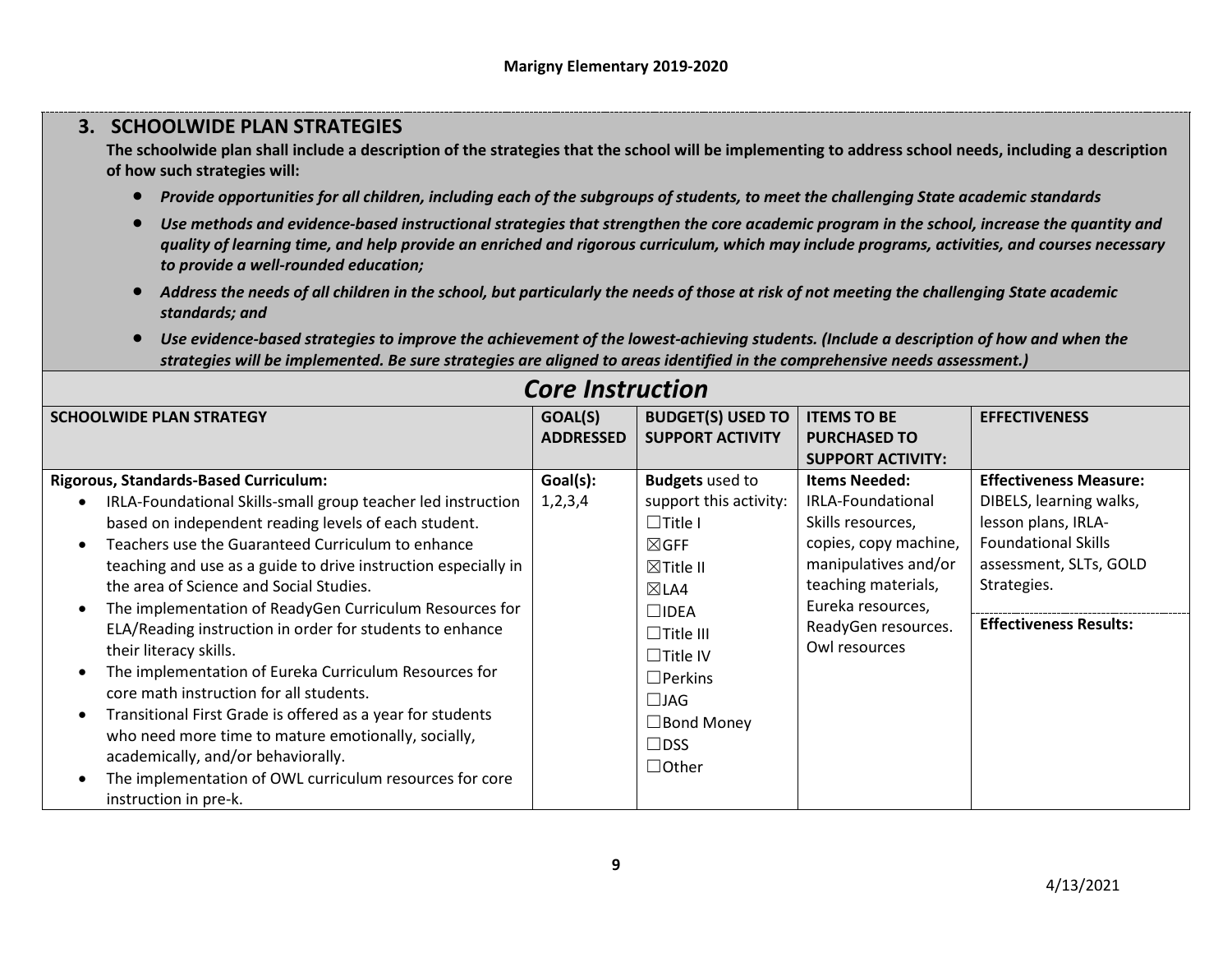# **3. SCHOOLWIDE PLAN STRATEGIES**

**The schoolwide plan shall include a description of the strategies that the school will be implementing to address school needs, including a description of how such strategies will:**

- *Provide opportunities for all children, including each of the subgroups of students, to meet the challenging State academic standards*
- *Use methods and evidence-based instructional strategies that strengthen the core academic program in the school, increase the quantity and quality of learning time, and help provide an enriched and rigorous curriculum, which may include programs, activities, and courses necessary to provide a well-rounded education;*
- *Address the needs of all children in the school, but particularly the needs of those at risk of not meeting the challenging State academic standards; and*
- *Use evidence-based strategies to improve the achievement of the lowest-achieving students. (Include a description of how and when the strategies will be implemented. Be sure strategies are aligned to areas identified in the comprehensive needs assessment.)*

|                                                                | 97 C <i>III9</i> CI GULIUII |                          |                          |                               |
|----------------------------------------------------------------|-----------------------------|--------------------------|--------------------------|-------------------------------|
| <b>SCHOOLWIDE PLAN STRATEGY</b>                                | GOAL(S)                     | <b>BUDGET(S) USED TO</b> | <b>ITEMS TO BE</b>       | <b>EFFECTIVENESS</b>          |
|                                                                | <b>ADDRESSED</b>            | <b>SUPPORT ACTIVITY</b>  | <b>PURCHASED TO</b>      |                               |
|                                                                |                             |                          | <b>SUPPORT ACTIVITY:</b> |                               |
| <b>Rigorous, Standards-Based Curriculum:</b>                   | Goal(s):                    | <b>Budgets</b> used to   | <b>Items Needed:</b>     | <b>Effectiveness Measure:</b> |
| IRLA-Foundational Skills-small group teacher led instruction   | 1,2,3,4                     | support this activity:   | IRLA-Foundational        | DIBELS, learning walks,       |
| based on independent reading levels of each student.           |                             | $\Box$ Title I           | Skills resources,        | lesson plans, IRLA-           |
| Teachers use the Guaranteed Curriculum to enhance              |                             | $\boxtimes$ GFF          | copies, copy machine,    | <b>Foundational Skills</b>    |
| teaching and use as a guide to drive instruction especially in |                             | $\boxtimes$ Title II     | manipulatives and/or     | assessment, SLTs, GOLD        |
| the area of Science and Social Studies.                        |                             | $\boxtimes$ LA4          | teaching materials,      | Strategies.                   |
| The implementation of ReadyGen Curriculum Resources for        |                             | $\Box$ idea              | Eureka resources,        |                               |
| ELA/Reading instruction in order for students to enhance       |                             | $\Box$ Title III         | ReadyGen resources.      | <b>Effectiveness Results:</b> |
| their literacy skills.                                         |                             | $\Box$ Title IV          | Owl resources            |                               |
| The implementation of Eureka Curriculum Resources for          |                             | $\square$ Perkins        |                          |                               |
| core math instruction for all students.                        |                             | $\square$ JAG            |                          |                               |
| Transitional First Grade is offered as a year for students     |                             | $\Box$ Bond Money        |                          |                               |
| who need more time to mature emotionally, socially,            |                             | $\Box$ DSS               |                          |                               |
| academically, and/or behaviorally.                             |                             | $\Box$ Other             |                          |                               |
| The implementation of OWL curriculum resources for core        |                             |                          |                          |                               |
| instruction in pre-k.                                          |                             |                          |                          |                               |

# *Core Instruction*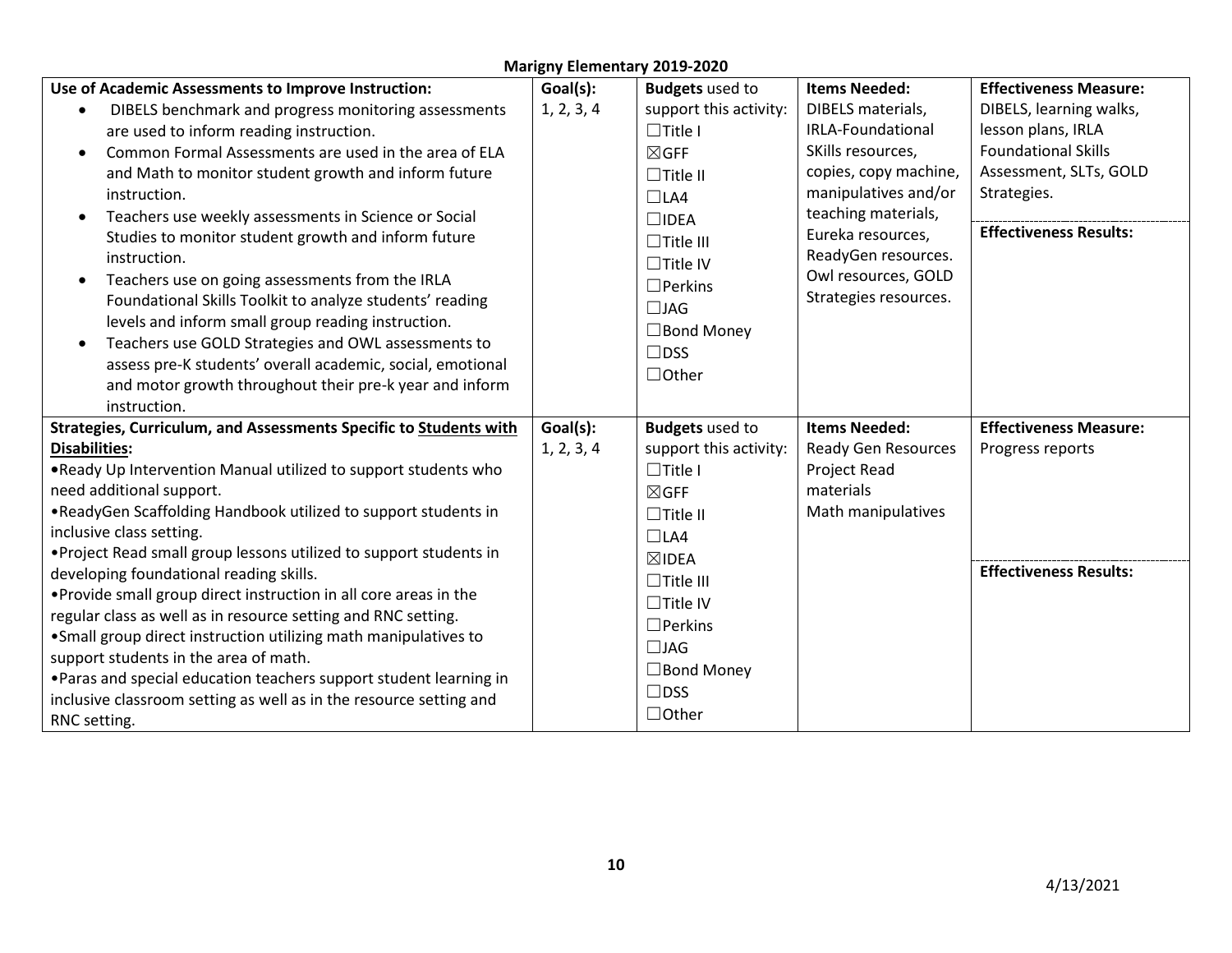| Use of Academic Assessments to Improve Instruction:                | Goal(s):   | <b>Budgets</b> used to | <b>Items Needed:</b>       | <b>Effectiveness Measure:</b> |
|--------------------------------------------------------------------|------------|------------------------|----------------------------|-------------------------------|
| DIBELS benchmark and progress monitoring assessments               | 1, 2, 3, 4 | support this activity: | DIBELS materials,          | DIBELS, learning walks,       |
| are used to inform reading instruction.                            |            | $\Box$ Title I         | <b>IRLA-Foundational</b>   | lesson plans, IRLA            |
| Common Formal Assessments are used in the area of ELA              |            | $\boxtimes$ GFF        | SKills resources,          | <b>Foundational Skills</b>    |
| and Math to monitor student growth and inform future               |            | $\Box$ Title II        | copies, copy machine,      | Assessment, SLTs, GOLD        |
| instruction.                                                       |            | $\Box$ LA4             | manipulatives and/or       | Strategies.                   |
| Teachers use weekly assessments in Science or Social               |            | $\square$ IDEA         | teaching materials,        |                               |
| Studies to monitor student growth and inform future                |            | $\Box$ Title III       | Eureka resources,          | <b>Effectiveness Results:</b> |
| instruction.                                                       |            | $\Box$ Title IV        | ReadyGen resources.        |                               |
| Teachers use on going assessments from the IRLA                    |            | $\Box$ Perkins         | Owl resources, GOLD        |                               |
| Foundational Skills Toolkit to analyze students' reading           |            | $\Box$ JAG             | Strategies resources.      |                               |
| levels and inform small group reading instruction.                 |            | $\Box$ Bond Money      |                            |                               |
| Teachers use GOLD Strategies and OWL assessments to                |            | $\Box$ DSS             |                            |                               |
| assess pre-K students' overall academic, social, emotional         |            | $\Box$ Other           |                            |                               |
| and motor growth throughout their pre-k year and inform            |            |                        |                            |                               |
| instruction.                                                       |            |                        |                            |                               |
| Strategies, Curriculum, and Assessments Specific to Students with  | Goal(s):   | <b>Budgets</b> used to | <b>Items Needed:</b>       | <b>Effectiveness Measure:</b> |
| <b>Disabilities:</b>                                               | 1, 2, 3, 4 | support this activity: | <b>Ready Gen Resources</b> | Progress reports              |
| . Ready Up Intervention Manual utilized to support students who    |            | $\Box$ Title I         | Project Read               |                               |
| need additional support.                                           |            | $\boxtimes$ GFF        | materials                  |                               |
| .ReadyGen Scaffolding Handbook utilized to support students in     |            | $\Box$ Title II        | Math manipulatives         |                               |
| inclusive class setting.                                           |            | $\Box$ LA4             |                            |                               |
| . Project Read small group lessons utilized to support students in |            | $\boxtimes$ IDEA       |                            |                               |
| developing foundational reading skills.                            |            | $\Box$ Title III       |                            | <b>Effectiveness Results:</b> |
| . Provide small group direct instruction in all core areas in the  |            | $\Box$ Title IV        |                            |                               |
| regular class as well as in resource setting and RNC setting.      |            | $\Box$ Perkins         |                            |                               |
| • Small group direct instruction utilizing math manipulatives to   |            | $\Box$ JAG             |                            |                               |
| support students in the area of math.                              |            | $\Box$ Bond Money      |                            |                               |
| . Paras and special education teachers support student learning in |            | $\Box$ DSS             |                            |                               |
| inclusive classroom setting as well as in the resource setting and |            | $\Box$ Other           |                            |                               |
| RNC setting.                                                       |            |                        |                            |                               |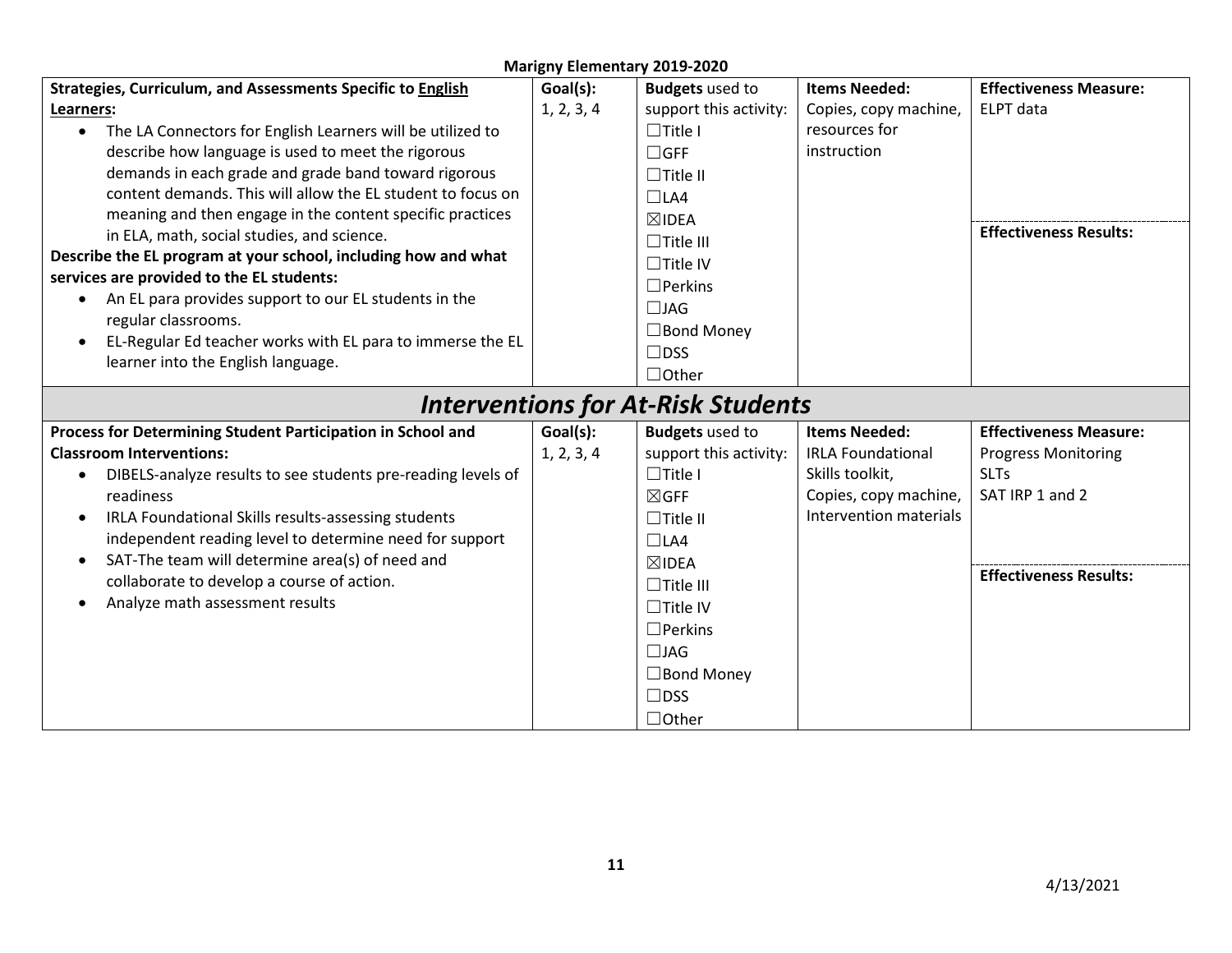| <b>Marigny Elementary 2019-2020</b>                                     |            |                                           |                          |                               |  |  |
|-------------------------------------------------------------------------|------------|-------------------------------------------|--------------------------|-------------------------------|--|--|
| Strategies, Curriculum, and Assessments Specific to English             | Goal(s):   | <b>Budgets</b> used to                    | <b>Items Needed:</b>     | <b>Effectiveness Measure:</b> |  |  |
| Learners:                                                               | 1, 2, 3, 4 | support this activity:                    | Copies, copy machine,    | ELPT data                     |  |  |
| The LA Connectors for English Learners will be utilized to<br>$\bullet$ |            | $\Box$ Title I                            | resources for            |                               |  |  |
| describe how language is used to meet the rigorous                      |            | $\Box$ GFF                                | instruction              |                               |  |  |
| demands in each grade and grade band toward rigorous                    |            | $\Box$ Title II                           |                          |                               |  |  |
| content demands. This will allow the EL student to focus on             |            | $\Box$ LA4                                |                          |                               |  |  |
| meaning and then engage in the content specific practices               |            | $\boxtimes$ IDEA                          |                          |                               |  |  |
| in ELA, math, social studies, and science.                              |            | $\Box$ Title III                          |                          | <b>Effectiveness Results:</b> |  |  |
| Describe the EL program at your school, including how and what          |            | $\Box$ Title IV                           |                          |                               |  |  |
| services are provided to the EL students:                               |            | $\Box$ Perkins                            |                          |                               |  |  |
| An EL para provides support to our EL students in the<br>$\bullet$      |            | $\Box$ JAG                                |                          |                               |  |  |
| regular classrooms.                                                     |            | $\Box$ Bond Money                         |                          |                               |  |  |
| EL-Regular Ed teacher works with EL para to immerse the EL<br>$\bullet$ |            | $\Box$ DSS                                |                          |                               |  |  |
| learner into the English language.                                      |            | $\Box$ Other                              |                          |                               |  |  |
|                                                                         |            |                                           |                          |                               |  |  |
|                                                                         |            | <b>Interventions for At-Risk Students</b> |                          |                               |  |  |
| Process for Determining Student Participation in School and             | Goal(s):   | <b>Budgets</b> used to                    | <b>Items Needed:</b>     | <b>Effectiveness Measure:</b> |  |  |
| <b>Classroom Interventions:</b>                                         | 1, 2, 3, 4 | support this activity:                    | <b>IRLA Foundational</b> | <b>Progress Monitoring</b>    |  |  |
| DIBELS-analyze results to see students pre-reading levels of<br>٠       |            | $\Box$ Title I                            | Skills toolkit,          | <b>SLTs</b>                   |  |  |
| readiness                                                               |            | $\boxtimes$ GFF                           | Copies, copy machine,    | SAT IRP 1 and 2               |  |  |
| IRLA Foundational Skills results-assessing students<br>$\bullet$        |            | $\Box$ Title II                           | Intervention materials   |                               |  |  |
| independent reading level to determine need for support                 |            | $\Box$ LA4                                |                          |                               |  |  |
| SAT-The team will determine area(s) of need and<br>$\bullet$            |            | $\boxtimes$ IDEA                          |                          |                               |  |  |
| collaborate to develop a course of action.                              |            | $\Box$ Title III                          |                          | <b>Effectiveness Results:</b> |  |  |
| Analyze math assessment results<br>$\bullet$                            |            | $\Box$ Title IV                           |                          |                               |  |  |
|                                                                         |            | $\Box$ Perkins                            |                          |                               |  |  |
|                                                                         |            | $\Box$ JAG                                |                          |                               |  |  |
|                                                                         |            | $\Box$ Bond Money                         |                          |                               |  |  |
|                                                                         |            | $\Box$ DSS                                |                          |                               |  |  |
|                                                                         |            |                                           |                          |                               |  |  |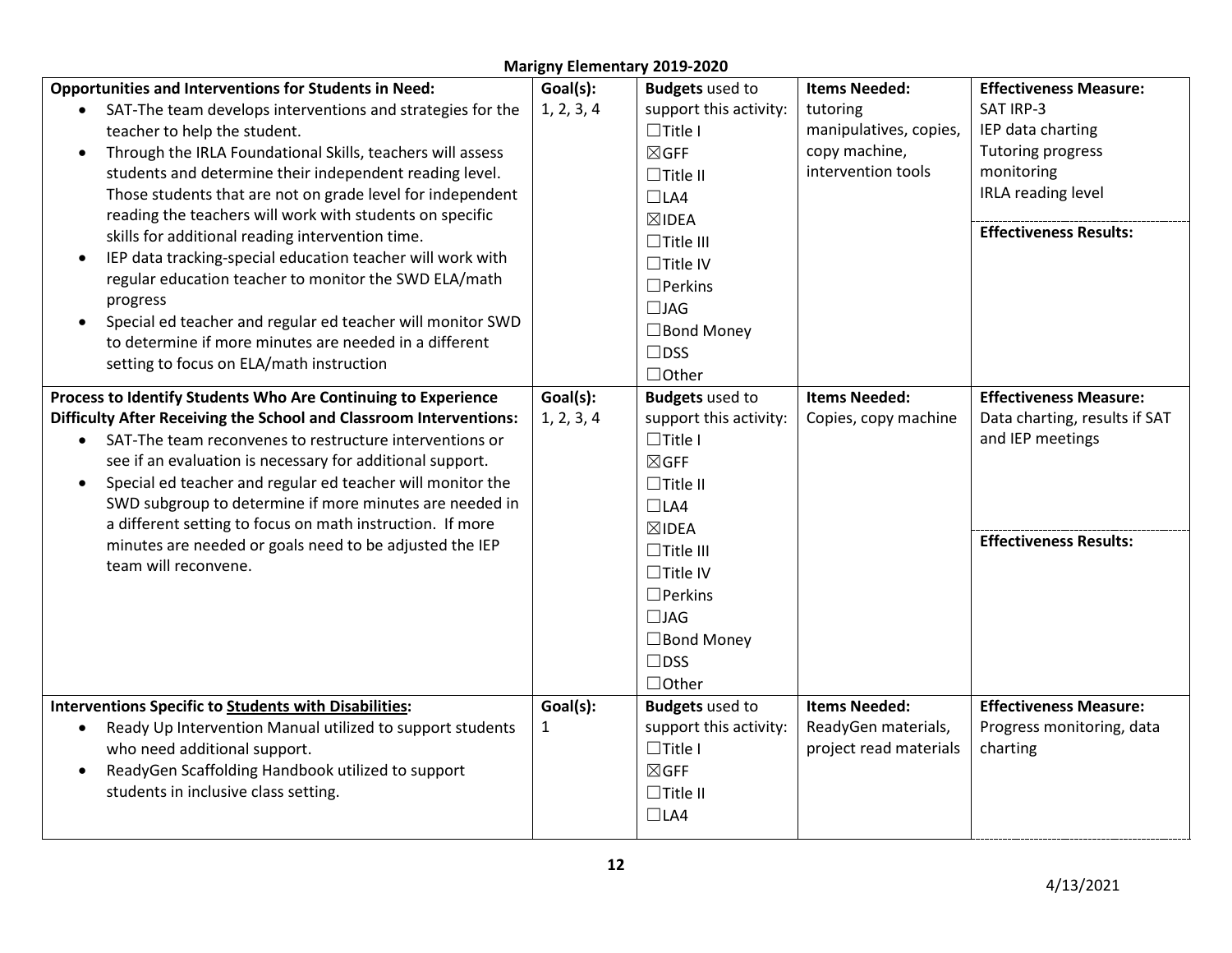| <b>Marigny Elementary 2019-2020</b>                                     |            |                        |                        |                               |  |  |  |
|-------------------------------------------------------------------------|------------|------------------------|------------------------|-------------------------------|--|--|--|
| <b>Opportunities and Interventions for Students in Need:</b>            | Goal(s):   | <b>Budgets</b> used to | <b>Items Needed:</b>   | <b>Effectiveness Measure:</b> |  |  |  |
| SAT-The team develops interventions and strategies for the              | 1, 2, 3, 4 | support this activity: | tutoring               | SAT IRP-3                     |  |  |  |
| teacher to help the student.                                            |            | $\Box$ Title I         | manipulatives, copies, | IEP data charting             |  |  |  |
| Through the IRLA Foundational Skills, teachers will assess<br>$\bullet$ |            | $\boxtimes$ GFF        | copy machine,          | Tutoring progress             |  |  |  |
| students and determine their independent reading level.                 |            | $\Box$ Title II        | intervention tools     | monitoring                    |  |  |  |
| Those students that are not on grade level for independent              |            | $\Box$ LA4             |                        | IRLA reading level            |  |  |  |
| reading the teachers will work with students on specific                |            | $\boxtimes$ IDEA       |                        |                               |  |  |  |
| skills for additional reading intervention time.                        |            | $\Box$ Title III       |                        | <b>Effectiveness Results:</b> |  |  |  |
| IEP data tracking-special education teacher will work with<br>$\bullet$ |            | $\Box$ Title IV        |                        |                               |  |  |  |
| regular education teacher to monitor the SWD ELA/math                   |            | $\Box$ Perkins         |                        |                               |  |  |  |
| progress                                                                |            | $\Box$ JAG             |                        |                               |  |  |  |
| Special ed teacher and regular ed teacher will monitor SWD<br>$\bullet$ |            | $\Box$ Bond Money      |                        |                               |  |  |  |
| to determine if more minutes are needed in a different                  |            | $\Box$ DSS             |                        |                               |  |  |  |
| setting to focus on ELA/math instruction                                |            | $\Box$ Other           |                        |                               |  |  |  |
| Process to Identify Students Who Are Continuing to Experience           | Goal(s):   | <b>Budgets</b> used to | <b>Items Needed:</b>   | <b>Effectiveness Measure:</b> |  |  |  |
| Difficulty After Receiving the School and Classroom Interventions:      | 1, 2, 3, 4 | support this activity: | Copies, copy machine   | Data charting, results if SAT |  |  |  |
| SAT-The team reconvenes to restructure interventions or                 |            | $\Box$ Title I         |                        | and IEP meetings              |  |  |  |
| see if an evaluation is necessary for additional support.               |            | $\boxtimes$ GFF        |                        |                               |  |  |  |
| Special ed teacher and regular ed teacher will monitor the<br>$\bullet$ |            | $\Box$ Title II        |                        |                               |  |  |  |
| SWD subgroup to determine if more minutes are needed in                 |            | $\Box$ LA4             |                        |                               |  |  |  |
| a different setting to focus on math instruction. If more               |            | $\boxtimes$ IDEA       |                        |                               |  |  |  |
| minutes are needed or goals need to be adjusted the IEP                 |            | $\Box$ Title III       |                        | <b>Effectiveness Results:</b> |  |  |  |
| team will reconvene.                                                    |            | $\Box$ Title IV        |                        |                               |  |  |  |
|                                                                         |            | $\Box$ Perkins         |                        |                               |  |  |  |
|                                                                         |            | $\Box$ JAG             |                        |                               |  |  |  |
|                                                                         |            | $\Box$ Bond Money      |                        |                               |  |  |  |
|                                                                         |            | $\Box$ DSS             |                        |                               |  |  |  |
|                                                                         |            | $\Box$ Other           |                        |                               |  |  |  |
| <b>Interventions Specific to Students with Disabilities:</b>            | Goal(s):   | <b>Budgets</b> used to | <b>Items Needed:</b>   | <b>Effectiveness Measure:</b> |  |  |  |
| Ready Up Intervention Manual utilized to support students               | 1          | support this activity: | ReadyGen materials,    | Progress monitoring, data     |  |  |  |
| $\bullet$<br>who need additional support.                               |            | $\Box$ Title I         | project read materials | charting                      |  |  |  |
| ReadyGen Scaffolding Handbook utilized to support<br>$\bullet$          |            | $\boxtimes$ GFF        |                        |                               |  |  |  |
| students in inclusive class setting.                                    |            | $\Box$ Title II        |                        |                               |  |  |  |
|                                                                         |            | $\Box$ LA4             |                        |                               |  |  |  |
|                                                                         |            |                        |                        |                               |  |  |  |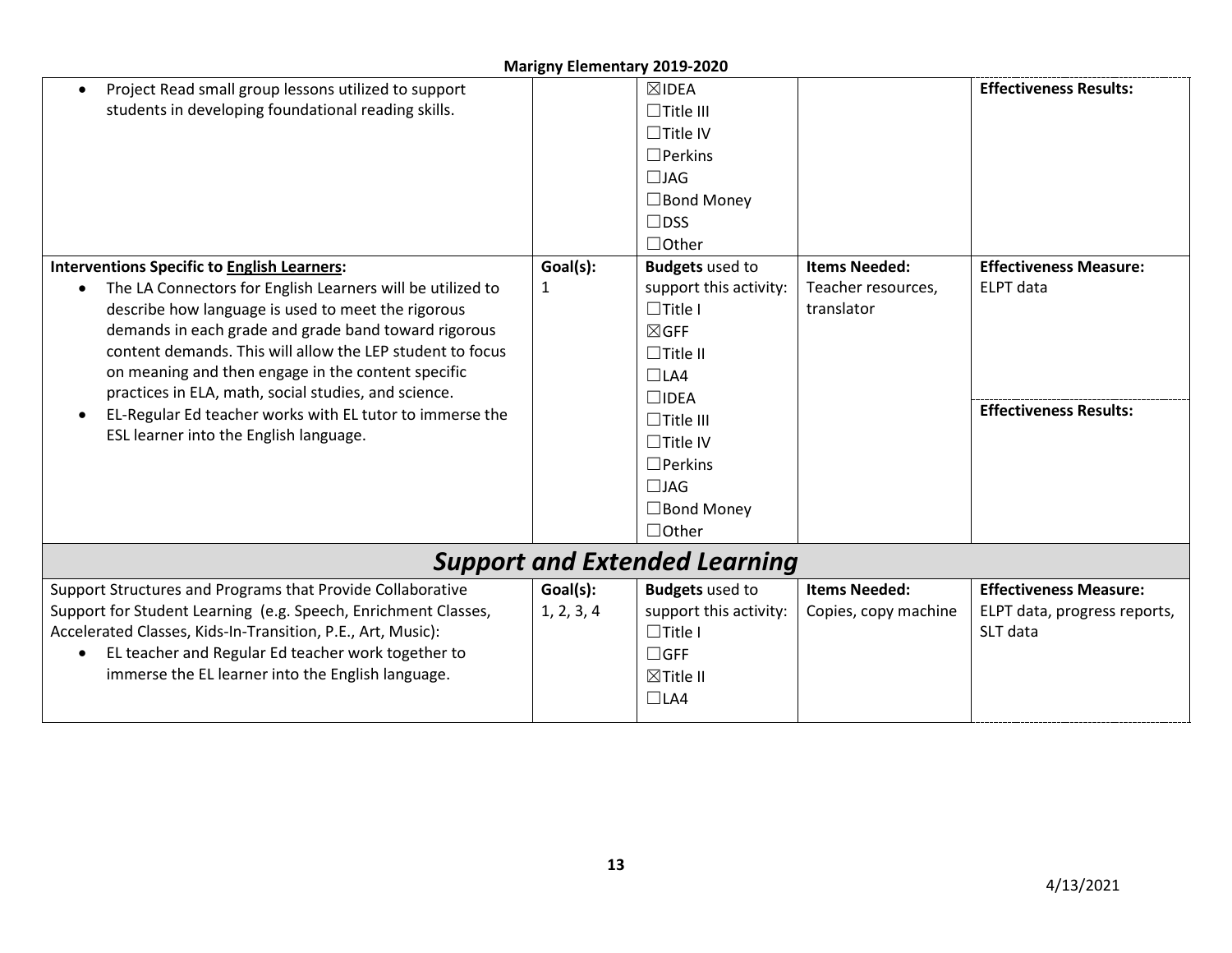| Project Read small group lessons utilized to support<br>$\bullet$       |            | $\boxtimes$ IDEA       |                      | <b>Effectiveness Results:</b> |  |  |
|-------------------------------------------------------------------------|------------|------------------------|----------------------|-------------------------------|--|--|
| students in developing foundational reading skills.                     |            | $\Box$ Title III       |                      |                               |  |  |
|                                                                         |            | $\Box$ Title IV        |                      |                               |  |  |
|                                                                         |            | $\Box$ Perkins         |                      |                               |  |  |
|                                                                         |            | $\Box$ JAG             |                      |                               |  |  |
|                                                                         |            | $\Box$ Bond Money      |                      |                               |  |  |
|                                                                         |            | $\Box$ DSS             |                      |                               |  |  |
|                                                                         |            | $\Box$ Other           |                      |                               |  |  |
| <b>Interventions Specific to English Learners:</b>                      | Goal(s):   | <b>Budgets</b> used to | <b>Items Needed:</b> | <b>Effectiveness Measure:</b> |  |  |
| The LA Connectors for English Learners will be utilized to<br>$\bullet$ | 1          | support this activity: | Teacher resources,   | ELPT data                     |  |  |
| describe how language is used to meet the rigorous                      |            | $\Box$ Title I         | translator           |                               |  |  |
| demands in each grade and grade band toward rigorous                    |            | $\boxtimes$ GFF        |                      |                               |  |  |
| content demands. This will allow the LEP student to focus               |            | $\Box$ Title II        |                      |                               |  |  |
| on meaning and then engage in the content specific                      |            | $\Box$ LA4             |                      |                               |  |  |
| practices in ELA, math, social studies, and science.                    |            | $\square$ IDEA         |                      |                               |  |  |
| EL-Regular Ed teacher works with EL tutor to immerse the<br>$\bullet$   |            | $\Box$ Title III       |                      | <b>Effectiveness Results:</b> |  |  |
| ESL learner into the English language.                                  |            | $\Box$ Title IV        |                      |                               |  |  |
|                                                                         |            | $\Box$ Perkins         |                      |                               |  |  |
|                                                                         |            | $\Box$ JAG             |                      |                               |  |  |
|                                                                         |            | $\Box$ Bond Money      |                      |                               |  |  |
|                                                                         |            | $\Box$ Other           |                      |                               |  |  |
| <b>Support and Extended Learning</b>                                    |            |                        |                      |                               |  |  |
| Support Structures and Programs that Provide Collaborative              | Goal(s):   | <b>Budgets</b> used to | <b>Items Needed:</b> | <b>Effectiveness Measure:</b> |  |  |
| Support for Student Learning (e.g. Speech, Enrichment Classes,          | 1, 2, 3, 4 | support this activity: | Copies, copy machine | ELPT data, progress reports,  |  |  |
| Accelerated Classes, Kids-In-Transition, P.E., Art, Music):             |            | $\Box$ Title I         |                      | SLT data                      |  |  |
| EL teacher and Regular Ed teacher work together to<br>$\bullet$         |            | $\Box$ GFF             |                      |                               |  |  |
| immerse the EL learner into the English language.                       |            | $\boxtimes$ Title II   |                      |                               |  |  |
|                                                                         |            | $\Box$ LA4             |                      |                               |  |  |
|                                                                         |            |                        |                      |                               |  |  |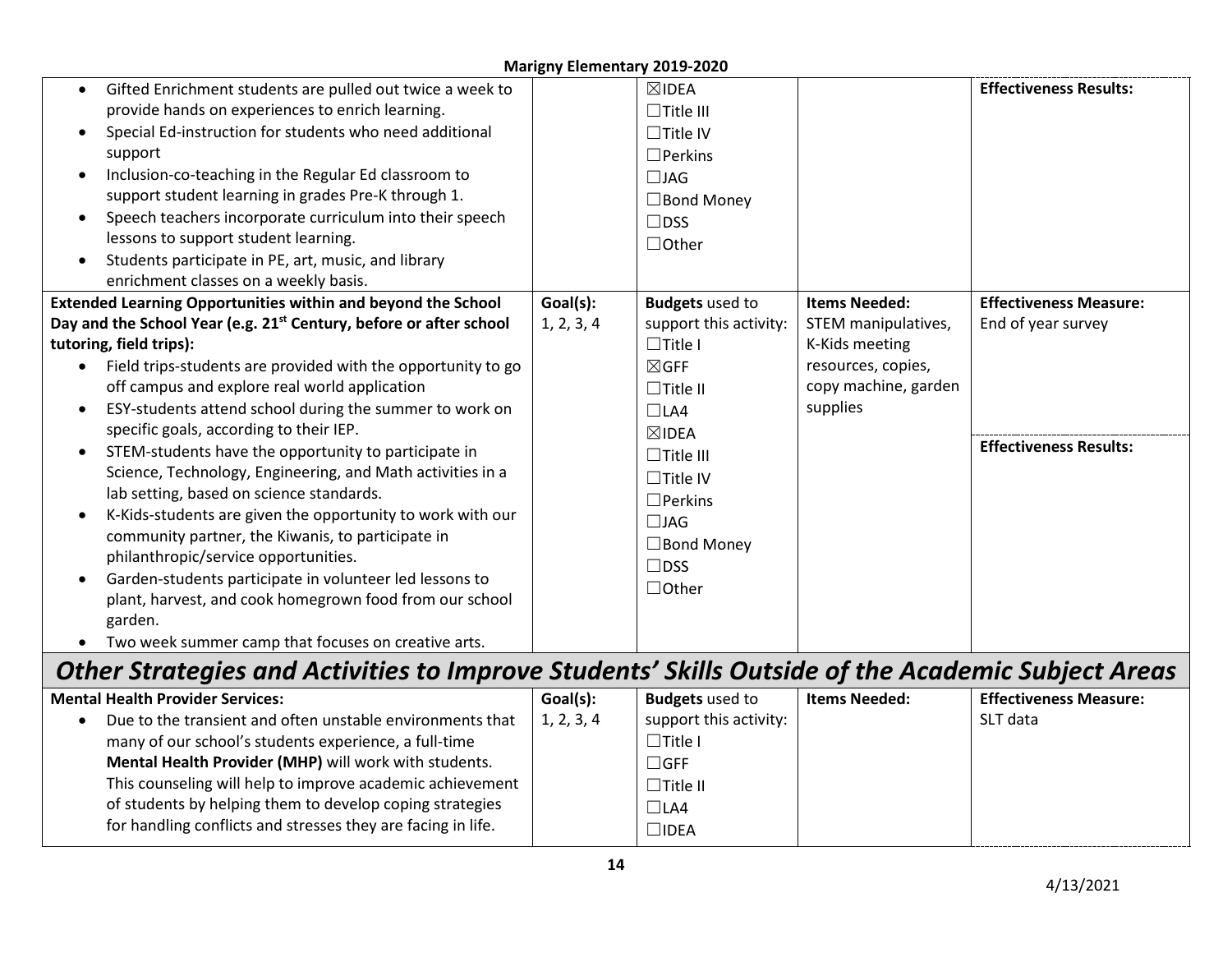| Gifted Enrichment students are pulled out twice a week to                                         |            | $\boxtimes$ IDEA       |                      | <b>Effectiveness Results:</b> |
|---------------------------------------------------------------------------------------------------|------------|------------------------|----------------------|-------------------------------|
| provide hands on experiences to enrich learning.                                                  |            | $\Box$ Title III       |                      |                               |
| Special Ed-instruction for students who need additional                                           |            | $\Box$ Title IV        |                      |                               |
| support                                                                                           |            | $\square$ Perkins      |                      |                               |
| Inclusion-co-teaching in the Regular Ed classroom to                                              |            | $\Box$ JAG             |                      |                               |
| support student learning in grades Pre-K through 1.                                               |            | $\Box$ Bond Money      |                      |                               |
| Speech teachers incorporate curriculum into their speech                                          |            | $\Box$ DSS             |                      |                               |
| lessons to support student learning.                                                              |            | $\Box$ Other           |                      |                               |
| Students participate in PE, art, music, and library                                               |            |                        |                      |                               |
| enrichment classes on a weekly basis.                                                             |            |                        |                      |                               |
| <b>Extended Learning Opportunities within and beyond the School</b>                               | Goal(s):   | <b>Budgets</b> used to | <b>Items Needed:</b> | <b>Effectiveness Measure:</b> |
| Day and the School Year (e.g. 21 <sup>st</sup> Century, before or after school                    | 1, 2, 3, 4 | support this activity: | STEM manipulatives,  | End of year survey            |
| tutoring, field trips):                                                                           |            | $\Box$ Title I         | K-Kids meeting       |                               |
| Field trips-students are provided with the opportunity to go<br>$\bullet$                         |            | $\boxtimes$ GFF        | resources, copies,   |                               |
| off campus and explore real world application                                                     |            | $\Box$ Title II        | copy machine, garden |                               |
| ESY-students attend school during the summer to work on                                           |            | $\Box$ LA4             | supplies             |                               |
| specific goals, according to their IEP.                                                           |            | $\boxtimes$ IDEA       |                      |                               |
| STEM-students have the opportunity to participate in                                              |            | $\Box$ Title III       |                      | <b>Effectiveness Results:</b> |
| Science, Technology, Engineering, and Math activities in a                                        |            | $\Box$ Title IV        |                      |                               |
| lab setting, based on science standards.                                                          |            | $\Box$ Perkins         |                      |                               |
| K-Kids-students are given the opportunity to work with our                                        |            | $\Box$ JAG             |                      |                               |
| community partner, the Kiwanis, to participate in                                                 |            | $\Box$ Bond Money      |                      |                               |
| philanthropic/service opportunities.                                                              |            | $\Box$ DSS             |                      |                               |
| Garden-students participate in volunteer led lessons to                                           |            | $\Box$ Other           |                      |                               |
| plant, harvest, and cook homegrown food from our school                                           |            |                        |                      |                               |
| garden.                                                                                           |            |                        |                      |                               |
| Two week summer camp that focuses on creative arts.                                               |            |                        |                      |                               |
| Other Strategies and Activities to Improve Students' Skills Outside of the Academic Subject Areas |            |                        |                      |                               |
| <b>Mental Health Provider Services:</b>                                                           | Goal(s):   | <b>Budgets</b> used to | <b>Items Needed:</b> | <b>Effectiveness Measure:</b> |
| Due to the transient and often unstable environments that                                         | 1, 2, 3, 4 | support this activity: |                      | SLT data                      |
| many of our school's students experience, a full-time                                             |            | $\Box$ Title I         |                      |                               |
| Mental Health Provider (MHP) will work with students.                                             |            | $\Box$ GFF             |                      |                               |
| This counseling will help to improve academic achievement                                         |            | $\Box$ Title II        |                      |                               |

 $\Box$ LA4 ☐IDEA

of students by helping them to develop coping strategies for handling conflicts and stresses they are facing in life.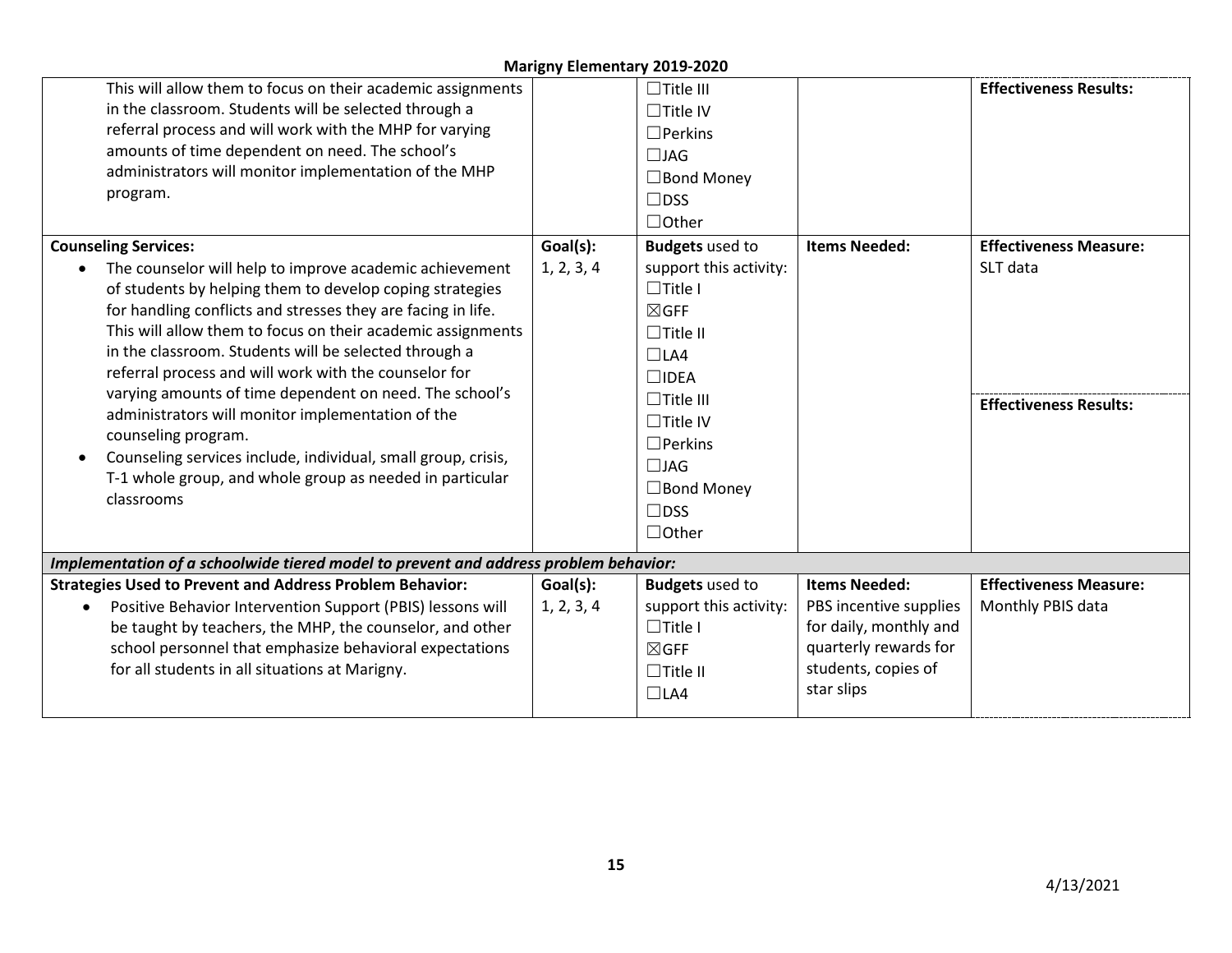| This will allow them to focus on their academic assignments<br>in the classroom. Students will be selected through a<br>referral process and will work with the MHP for varying<br>amounts of time dependent on need. The school's<br>administrators will monitor implementation of the MHP<br>program.<br><b>Counseling Services:</b><br>The counselor will help to improve academic achievement<br>of students by helping them to develop coping strategies<br>for handling conflicts and stresses they are facing in life.<br>This will allow them to focus on their academic assignments<br>in the classroom. Students will be selected through a<br>referral process and will work with the counselor for<br>varying amounts of time dependent on need. The school's<br>administrators will monitor implementation of the<br>counseling program.<br>Counseling services include, individual, small group, crisis,<br>T-1 whole group, and whole group as needed in particular<br>classrooms | Goal(s):<br>1, 2, 3, 4 | $\Box$ Title III<br>$\Box$ Title IV<br>$\Box$ Perkins<br>$\Box$ JAG<br>$\Box$ Bond Money<br>$\Box$ DSS<br>$\Box$ Other<br><b>Budgets</b> used to<br>support this activity:<br>$\Box$ Title I<br>$\boxtimes$ GFF<br>$\Box$ Title II<br>$\Box$ LA4<br>$\square$ IDEA<br>$\Box$ Title III<br>$\Box$ Title IV<br>$\Box$ Perkins<br>$\Box$ JAG<br>$\Box$ Bond Money<br>$\Box$ DSS<br>$\Box$ Other | <b>Items Needed:</b>                                                                                                                   | <b>Effectiveness Results:</b><br><b>Effectiveness Measure:</b><br>SLT data<br><b>Effectiveness Results:</b> |
|--------------------------------------------------------------------------------------------------------------------------------------------------------------------------------------------------------------------------------------------------------------------------------------------------------------------------------------------------------------------------------------------------------------------------------------------------------------------------------------------------------------------------------------------------------------------------------------------------------------------------------------------------------------------------------------------------------------------------------------------------------------------------------------------------------------------------------------------------------------------------------------------------------------------------------------------------------------------------------------------------|------------------------|----------------------------------------------------------------------------------------------------------------------------------------------------------------------------------------------------------------------------------------------------------------------------------------------------------------------------------------------------------------------------------------------|----------------------------------------------------------------------------------------------------------------------------------------|-------------------------------------------------------------------------------------------------------------|
| Implementation of a schoolwide tiered model to prevent and address problem behavior:                                                                                                                                                                                                                                                                                                                                                                                                                                                                                                                                                                                                                                                                                                                                                                                                                                                                                                             |                        |                                                                                                                                                                                                                                                                                                                                                                                              |                                                                                                                                        |                                                                                                             |
| <b>Strategies Used to Prevent and Address Problem Behavior:</b><br>Positive Behavior Intervention Support (PBIS) lessons will<br>$\bullet$<br>be taught by teachers, the MHP, the counselor, and other<br>school personnel that emphasize behavioral expectations<br>for all students in all situations at Marigny.                                                                                                                                                                                                                                                                                                                                                                                                                                                                                                                                                                                                                                                                              | Goal(s):<br>1, 2, 3, 4 | <b>Budgets</b> used to<br>support this activity:<br>$\Box$ Title I<br>$\boxtimes$ GFF<br>$\Box$ Title II<br>$\Box$ LA4                                                                                                                                                                                                                                                                       | <b>Items Needed:</b><br>PBS incentive supplies<br>for daily, monthly and<br>quarterly rewards for<br>students, copies of<br>star slips | <b>Effectiveness Measure:</b><br>Monthly PBIS data                                                          |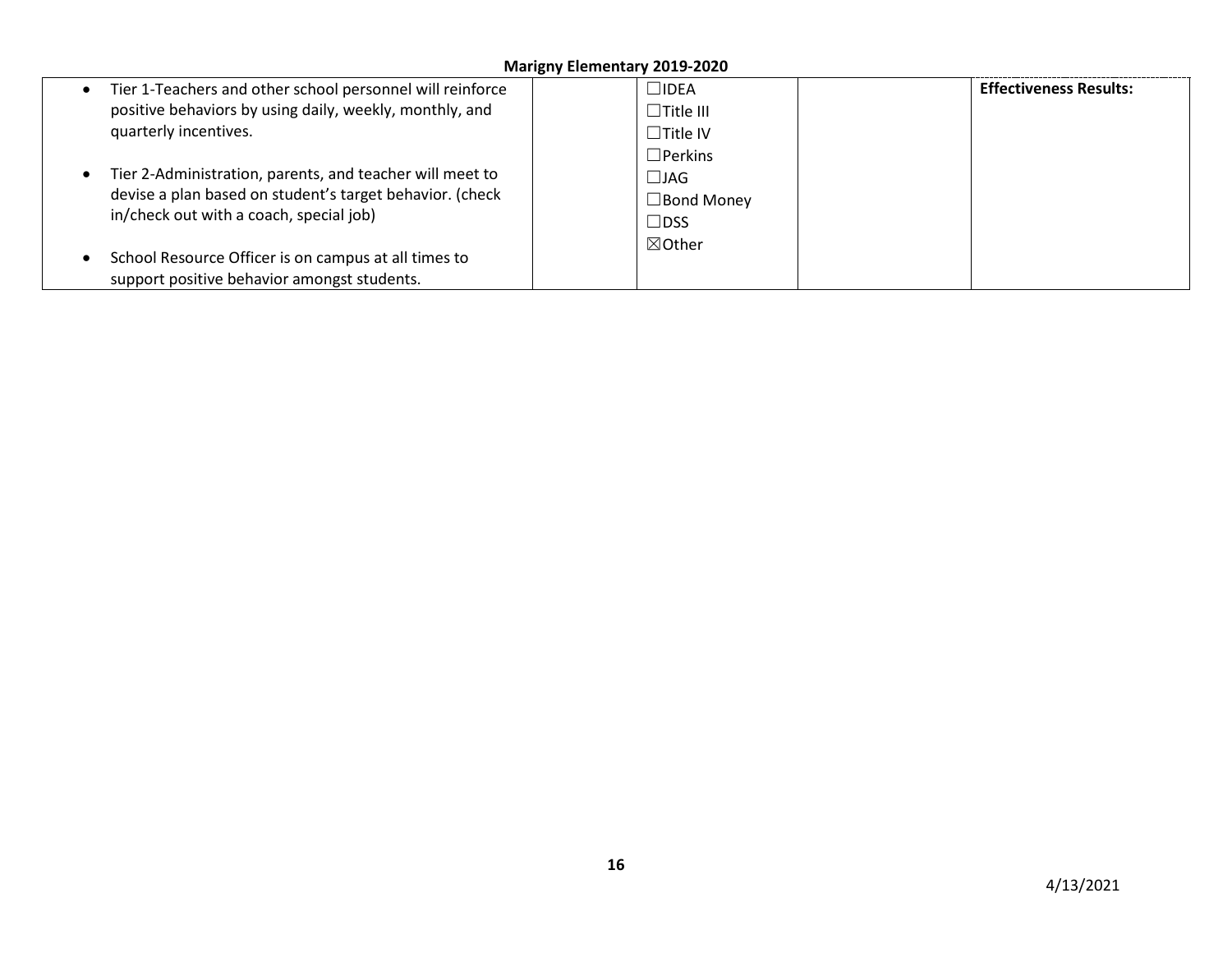| Tier 1-Teachers and other school personnel will reinforce<br>positive behaviors by using daily, weekly, monthly, and<br>quarterly incentives.                   | $\Box$ idea<br>$\Box$ Title III<br>$\Box$ Title IV<br>$\Box$ Perkins | <b>Effectiveness Results:</b> |
|-----------------------------------------------------------------------------------------------------------------------------------------------------------------|----------------------------------------------------------------------|-------------------------------|
| Tier 2-Administration, parents, and teacher will meet to<br>devise a plan based on student's target behavior. (check<br>in/check out with a coach, special job) | $\Box$ JAG<br>$\Box$ Bond Money<br>$\Box$ DSS                        |                               |
| School Resource Officer is on campus at all times to<br>support positive behavior amongst students.                                                             | $\boxtimes$ Other                                                    |                               |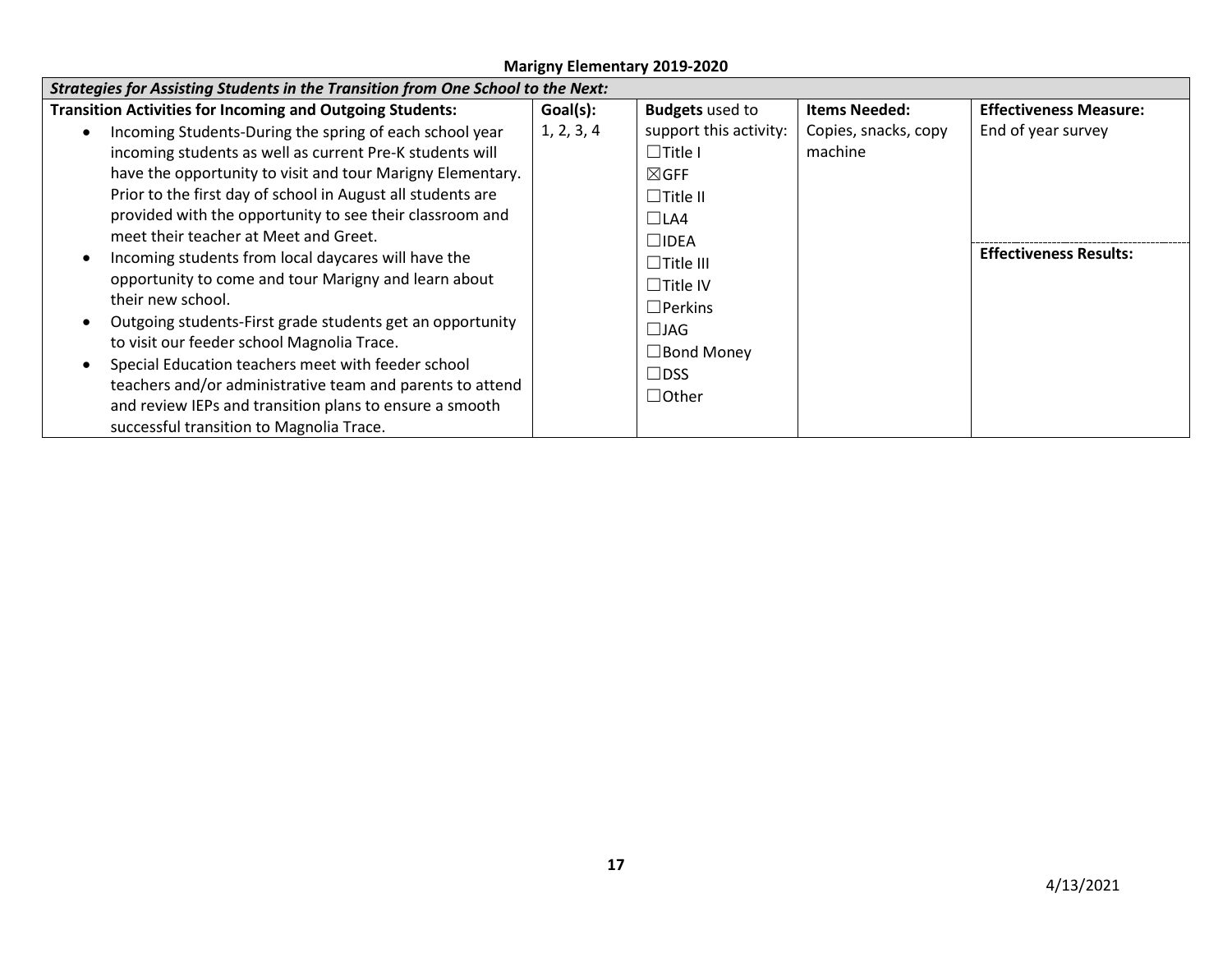| <b>Strategies for Assisting Students in the Transition from One School to the Next:</b>                                                                                                                                                                                                                                                                                                                                                                                                                                     |            |                                                                                                                                                           |                                 |                               |  |
|-----------------------------------------------------------------------------------------------------------------------------------------------------------------------------------------------------------------------------------------------------------------------------------------------------------------------------------------------------------------------------------------------------------------------------------------------------------------------------------------------------------------------------|------------|-----------------------------------------------------------------------------------------------------------------------------------------------------------|---------------------------------|-------------------------------|--|
| <b>Transition Activities for Incoming and Outgoing Students:</b>                                                                                                                                                                                                                                                                                                                                                                                                                                                            | Goal(s):   | <b>Budgets</b> used to                                                                                                                                    | <b>Items Needed:</b>            | <b>Effectiveness Measure:</b> |  |
| Incoming Students-During the spring of each school year<br>incoming students as well as current Pre-K students will                                                                                                                                                                                                                                                                                                                                                                                                         | 1, 2, 3, 4 | support this activity:<br>$\Box$ Title I                                                                                                                  | Copies, snacks, copy<br>machine | End of year survey            |  |
| have the opportunity to visit and tour Marigny Elementary.<br>Prior to the first day of school in August all students are<br>provided with the opportunity to see their classroom and                                                                                                                                                                                                                                                                                                                                       |            | $\boxtimes$ GFF<br>$\Box$ Title II                                                                                                                        |                                 |                               |  |
| meet their teacher at Meet and Greet.<br>Incoming students from local daycares will have the<br>opportunity to come and tour Marigny and learn about<br>their new school.<br>Outgoing students-First grade students get an opportunity<br>to visit our feeder school Magnolia Trace.<br>Special Education teachers meet with feeder school<br>$\bullet$<br>teachers and/or administrative team and parents to attend<br>and review IEPs and transition plans to ensure a smooth<br>successful transition to Magnolia Trace. |            | $\Box$ LA4<br>$\Box$ idea<br>$\Box$ Title III<br>$\Box$ Title IV<br>$\Box$ Perkins<br>$\square$ JAG<br>$\square$ Bond Money<br>$\Box$ DSS<br>$\Box$ Other |                                 | <b>Effectiveness Results:</b> |  |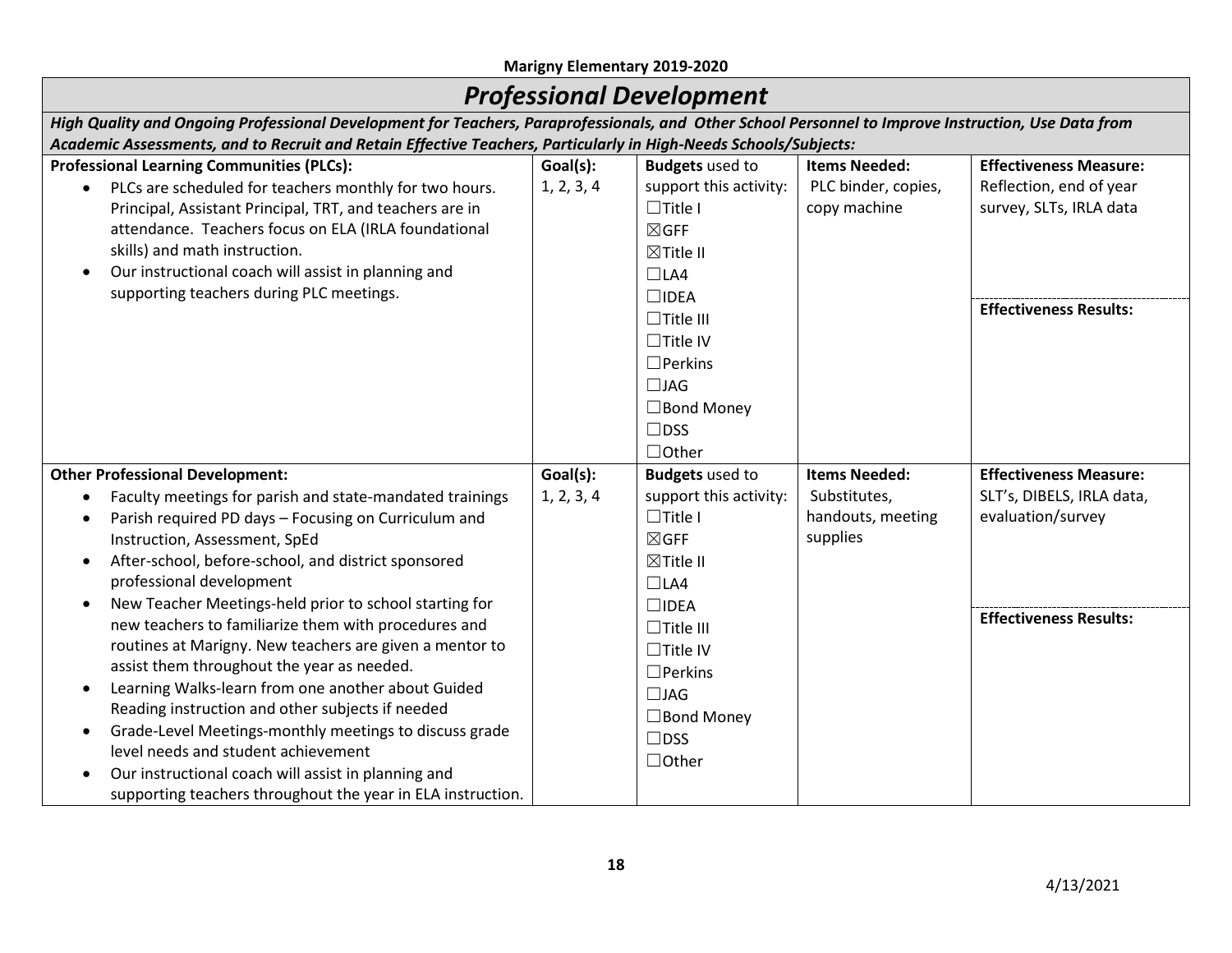# *Professional Development*

| High Quality and Ongoing Professional Development for Teachers, Paraprofessionals, and Other School Personnel to Improve Instruction, Use Data from |                                                                                                                  |                        |                      |                               |  |  |  |  |
|-----------------------------------------------------------------------------------------------------------------------------------------------------|------------------------------------------------------------------------------------------------------------------|------------------------|----------------------|-------------------------------|--|--|--|--|
|                                                                                                                                                     | Academic Assessments, and to Recruit and Retain Effective Teachers, Particularly in High-Needs Schools/Subjects: |                        |                      |                               |  |  |  |  |
| <b>Professional Learning Communities (PLCs):</b>                                                                                                    | Goal(s):                                                                                                         | <b>Budgets</b> used to | <b>Items Needed:</b> | <b>Effectiveness Measure:</b> |  |  |  |  |
| PLCs are scheduled for teachers monthly for two hours.                                                                                              | 1, 2, 3, 4                                                                                                       | support this activity: | PLC binder, copies,  | Reflection, end of year       |  |  |  |  |
| Principal, Assistant Principal, TRT, and teachers are in                                                                                            |                                                                                                                  | $\Box$ Title I         | copy machine         | survey, SLTs, IRLA data       |  |  |  |  |
| attendance. Teachers focus on ELA (IRLA foundational                                                                                                |                                                                                                                  | $\boxtimes$ GFF        |                      |                               |  |  |  |  |
| skills) and math instruction.                                                                                                                       |                                                                                                                  | ⊠Title II              |                      |                               |  |  |  |  |
| Our instructional coach will assist in planning and<br>$\bullet$                                                                                    |                                                                                                                  | $\Box$ LA4             |                      |                               |  |  |  |  |
| supporting teachers during PLC meetings.                                                                                                            |                                                                                                                  | $\square$ IDEA         |                      |                               |  |  |  |  |
|                                                                                                                                                     |                                                                                                                  | $\Box$ Title III       |                      | <b>Effectiveness Results:</b> |  |  |  |  |
|                                                                                                                                                     |                                                                                                                  | $\Box$ Title IV        |                      |                               |  |  |  |  |
|                                                                                                                                                     |                                                                                                                  | $\Box$ Perkins         |                      |                               |  |  |  |  |
|                                                                                                                                                     |                                                                                                                  | $\Box$ JAG             |                      |                               |  |  |  |  |
|                                                                                                                                                     |                                                                                                                  | $\Box$ Bond Money      |                      |                               |  |  |  |  |
|                                                                                                                                                     |                                                                                                                  | $\Box$ DSS             |                      |                               |  |  |  |  |
|                                                                                                                                                     |                                                                                                                  | $\Box$ Other           |                      |                               |  |  |  |  |
| <b>Other Professional Development:</b>                                                                                                              | Goal(s):                                                                                                         | <b>Budgets</b> used to | <b>Items Needed:</b> | <b>Effectiveness Measure:</b> |  |  |  |  |
| Faculty meetings for parish and state-mandated trainings<br>$\bullet$                                                                               | 1, 2, 3, 4                                                                                                       | support this activity: | Substitutes,         | SLT's, DIBELS, IRLA data,     |  |  |  |  |
| Parish required PD days - Focusing on Curriculum and<br>$\bullet$                                                                                   |                                                                                                                  | $\Box$ Title I         | handouts, meeting    | evaluation/survey             |  |  |  |  |
| Instruction, Assessment, SpEd                                                                                                                       |                                                                                                                  | $\boxtimes$ GFF        | supplies             |                               |  |  |  |  |
| After-school, before-school, and district sponsored<br>$\bullet$                                                                                    |                                                                                                                  | ⊠Title II              |                      |                               |  |  |  |  |
| professional development                                                                                                                            |                                                                                                                  | $\Box$ LA4             |                      |                               |  |  |  |  |
| New Teacher Meetings-held prior to school starting for<br>$\bullet$                                                                                 |                                                                                                                  | $\square$ IDEA         |                      |                               |  |  |  |  |
| new teachers to familiarize them with procedures and                                                                                                |                                                                                                                  | $\Box$ Title III       |                      | <b>Effectiveness Results:</b> |  |  |  |  |
| routines at Marigny. New teachers are given a mentor to                                                                                             |                                                                                                                  | $\Box$ Title IV        |                      |                               |  |  |  |  |
| assist them throughout the year as needed.                                                                                                          |                                                                                                                  | $\Box$ Perkins         |                      |                               |  |  |  |  |
| Learning Walks-learn from one another about Guided                                                                                                  |                                                                                                                  | $\Box$ JAG             |                      |                               |  |  |  |  |
| Reading instruction and other subjects if needed                                                                                                    |                                                                                                                  | $\Box$ Bond Money      |                      |                               |  |  |  |  |
| Grade-Level Meetings-monthly meetings to discuss grade<br>$\bullet$                                                                                 |                                                                                                                  | $\Box$ DSS             |                      |                               |  |  |  |  |
| level needs and student achievement                                                                                                                 |                                                                                                                  | $\Box$ Other           |                      |                               |  |  |  |  |
| Our instructional coach will assist in planning and<br>$\bullet$                                                                                    |                                                                                                                  |                        |                      |                               |  |  |  |  |
| supporting teachers throughout the year in ELA instruction.                                                                                         |                                                                                                                  |                        |                      |                               |  |  |  |  |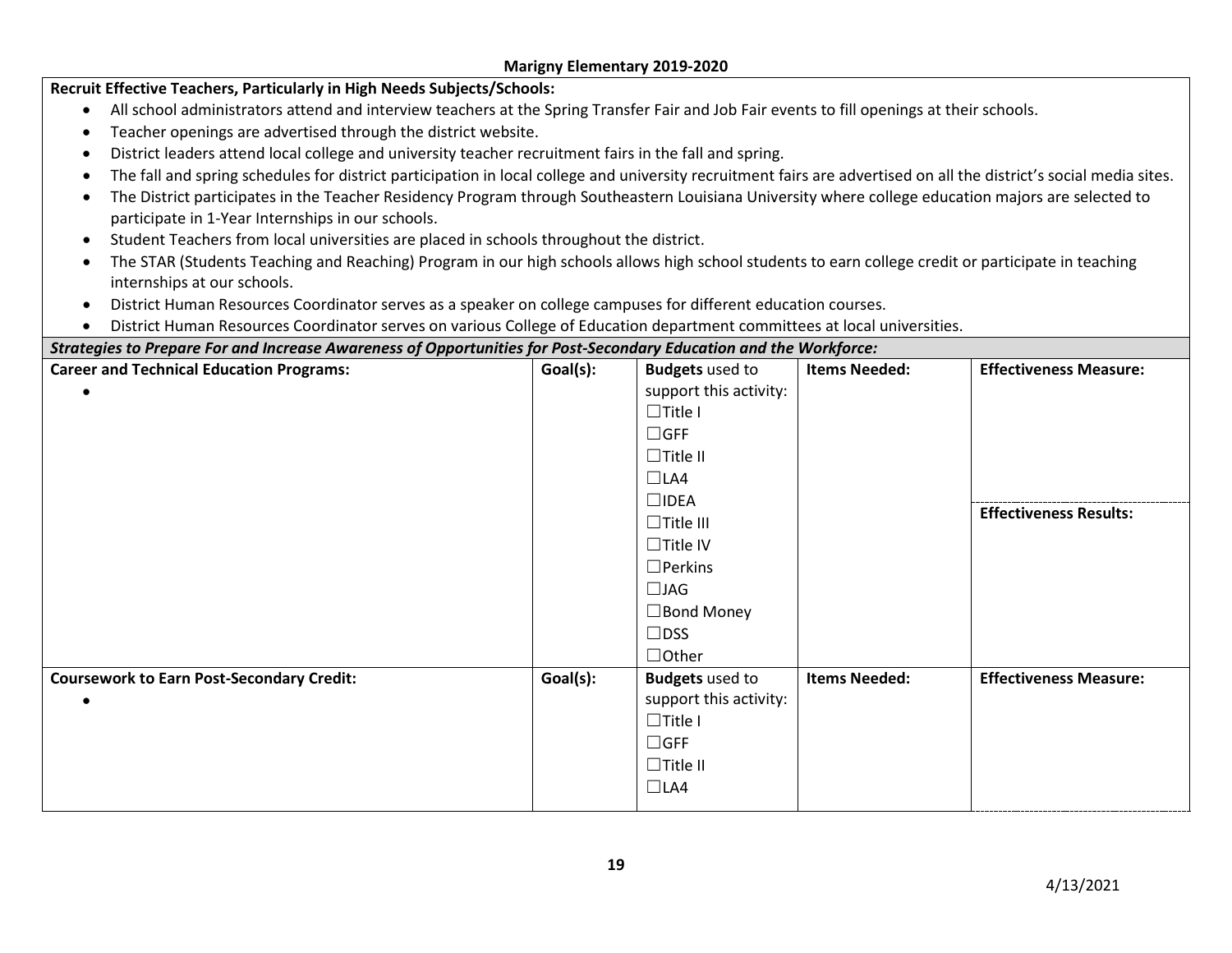| Recruit Effective Teachers, Particularly in High Needs Subjects/Schools:                                                                            |                                                                                                                                                                     |                        |                      |                               |  |  |  |  |
|-----------------------------------------------------------------------------------------------------------------------------------------------------|---------------------------------------------------------------------------------------------------------------------------------------------------------------------|------------------------|----------------------|-------------------------------|--|--|--|--|
| All school administrators attend and interview teachers at the Spring Transfer Fair and Job Fair events to fill openings at their schools.          |                                                                                                                                                                     |                        |                      |                               |  |  |  |  |
| Teacher openings are advertised through the district website.                                                                                       |                                                                                                                                                                     |                        |                      |                               |  |  |  |  |
| District leaders attend local college and university teacher recruitment fairs in the fall and spring.                                              |                                                                                                                                                                     |                        |                      |                               |  |  |  |  |
| $\bullet$                                                                                                                                           | The fall and spring schedules for district participation in local college and university recruitment fairs are advertised on all the district's social media sites. |                        |                      |                               |  |  |  |  |
|                                                                                                                                                     | The District participates in the Teacher Residency Program through Southeastern Louisiana University where college education majors are selected to                 |                        |                      |                               |  |  |  |  |
| participate in 1-Year Internships in our schools.                                                                                                   |                                                                                                                                                                     |                        |                      |                               |  |  |  |  |
| Student Teachers from local universities are placed in schools throughout the district.                                                             |                                                                                                                                                                     |                        |                      |                               |  |  |  |  |
| The STAR (Students Teaching and Reaching) Program in our high schools allows high school students to earn college credit or participate in teaching |                                                                                                                                                                     |                        |                      |                               |  |  |  |  |
| internships at our schools.                                                                                                                         |                                                                                                                                                                     |                        |                      |                               |  |  |  |  |
| District Human Resources Coordinator serves as a speaker on college campuses for different education courses.                                       |                                                                                                                                                                     |                        |                      |                               |  |  |  |  |
| District Human Resources Coordinator serves on various College of Education department committees at local universities.                            |                                                                                                                                                                     |                        |                      |                               |  |  |  |  |
| Strategies to Prepare For and Increase Awareness of Opportunities for Post-Secondary Education and the Workforce:                                   |                                                                                                                                                                     |                        |                      |                               |  |  |  |  |
| <b>Career and Technical Education Programs:</b>                                                                                                     | Goal(s):                                                                                                                                                            | <b>Budgets</b> used to | <b>Items Needed:</b> | <b>Effectiveness Measure:</b> |  |  |  |  |
|                                                                                                                                                     |                                                                                                                                                                     | support this activity: |                      |                               |  |  |  |  |
|                                                                                                                                                     |                                                                                                                                                                     | $\Box$ Title I         |                      |                               |  |  |  |  |
|                                                                                                                                                     |                                                                                                                                                                     | $\Box$ GFF             |                      |                               |  |  |  |  |
|                                                                                                                                                     |                                                                                                                                                                     | $\Box$ Title II        |                      |                               |  |  |  |  |
|                                                                                                                                                     |                                                                                                                                                                     | $\Box$ LA4             |                      |                               |  |  |  |  |
|                                                                                                                                                     |                                                                                                                                                                     | $\square$ IDEA         |                      | <b>Effectiveness Results:</b> |  |  |  |  |
|                                                                                                                                                     |                                                                                                                                                                     | $\Box$ Title III       |                      |                               |  |  |  |  |
|                                                                                                                                                     |                                                                                                                                                                     | $\Box$ Title IV        |                      |                               |  |  |  |  |
|                                                                                                                                                     |                                                                                                                                                                     | $\Box$ Perkins         |                      |                               |  |  |  |  |
|                                                                                                                                                     |                                                                                                                                                                     | $\Box$ JAG             |                      |                               |  |  |  |  |
|                                                                                                                                                     |                                                                                                                                                                     | $\Box$ Bond Money      |                      |                               |  |  |  |  |
|                                                                                                                                                     |                                                                                                                                                                     | $\Box$ DSS             |                      |                               |  |  |  |  |
|                                                                                                                                                     |                                                                                                                                                                     | $\Box$ Other           |                      |                               |  |  |  |  |
| <b>Coursework to Earn Post-Secondary Credit:</b>                                                                                                    | Goal(s):                                                                                                                                                            | <b>Budgets</b> used to | <b>Items Needed:</b> | <b>Effectiveness Measure:</b> |  |  |  |  |
|                                                                                                                                                     |                                                                                                                                                                     | support this activity: |                      |                               |  |  |  |  |
|                                                                                                                                                     |                                                                                                                                                                     | $\Box$ Title I         |                      |                               |  |  |  |  |
|                                                                                                                                                     |                                                                                                                                                                     | $\Box$ GFF             |                      |                               |  |  |  |  |
|                                                                                                                                                     |                                                                                                                                                                     | $\Box$ Title II        |                      |                               |  |  |  |  |
|                                                                                                                                                     |                                                                                                                                                                     | $\Box$ LA4             |                      |                               |  |  |  |  |
|                                                                                                                                                     |                                                                                                                                                                     |                        |                      |                               |  |  |  |  |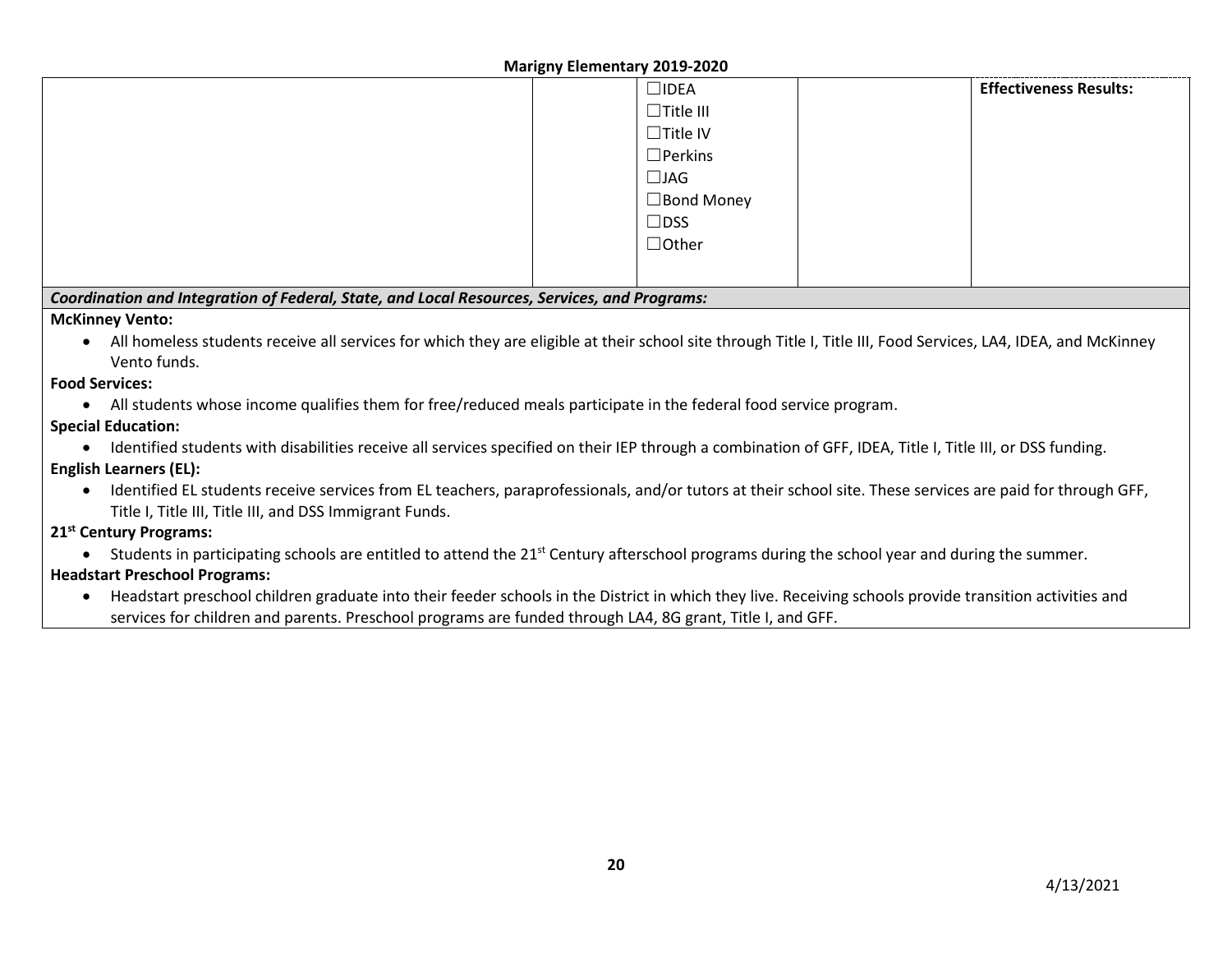|                                                                                                                                                                | <b>IVIALIZIIV EICHICHLAIV ZUIJ-ZUZU</b> |  |                               |
|----------------------------------------------------------------------------------------------------------------------------------------------------------------|-----------------------------------------|--|-------------------------------|
|                                                                                                                                                                | $\Box$ IDEA                             |  | <b>Effectiveness Results:</b> |
|                                                                                                                                                                | $\Box$ Title III                        |  |                               |
|                                                                                                                                                                | $\Box$ Title IV                         |  |                               |
|                                                                                                                                                                | $\Box$ Perkins                          |  |                               |
|                                                                                                                                                                | $\Box$ JAG                              |  |                               |
|                                                                                                                                                                | $\Box$ Bond Money                       |  |                               |
|                                                                                                                                                                | $\Box$ DSS                              |  |                               |
|                                                                                                                                                                | $\Box$ Other                            |  |                               |
|                                                                                                                                                                |                                         |  |                               |
|                                                                                                                                                                |                                         |  |                               |
| Coordination and Integration of Federal, State, and Local Resources, Services, and Programs:                                                                   |                                         |  |                               |
| <b>McKinney Vento:</b>                                                                                                                                         |                                         |  |                               |
| All homeless students receive all services for which they are eligible at their school site through Title I, Title III, Food Services, LA4, IDEA, and McKinney |                                         |  |                               |
| Vento funds.                                                                                                                                                   |                                         |  |                               |
| <b>Food Services:</b>                                                                                                                                          |                                         |  |                               |
| All students whose income qualifies them for free/reduced meals participate in the federal food service program.                                               |                                         |  |                               |
| <b>Special Education:</b>                                                                                                                                      |                                         |  |                               |
| Identified students with disabilities receive all services specified on their IEP through a combination of GFF, IDEA, Title I, Title III, or DSS funding.      |                                         |  |                               |
| <b>English Learners (EL):</b>                                                                                                                                  |                                         |  |                               |
| Identified EL students receive services from EL teachers, paraprofessionals, and/or tutors at their school site. These services are paid for through GFF,      |                                         |  |                               |
| Title I, Title III, Title III, and DSS Immigrant Funds.                                                                                                        |                                         |  |                               |
| 31St Captum Draguages                                                                                                                                          |                                         |  |                               |

### **21st Century Programs:**

• Students in participating schools are entitled to attend the 21<sup>st</sup> Century afterschool programs during the school year and during the summer.

# **Headstart Preschool Programs:**

• Headstart preschool children graduate into their feeder schools in the District in which they live. Receiving schools provide transition activities and services for children and parents. Preschool programs are funded through LA4, 8G grant, Title I, and GFF.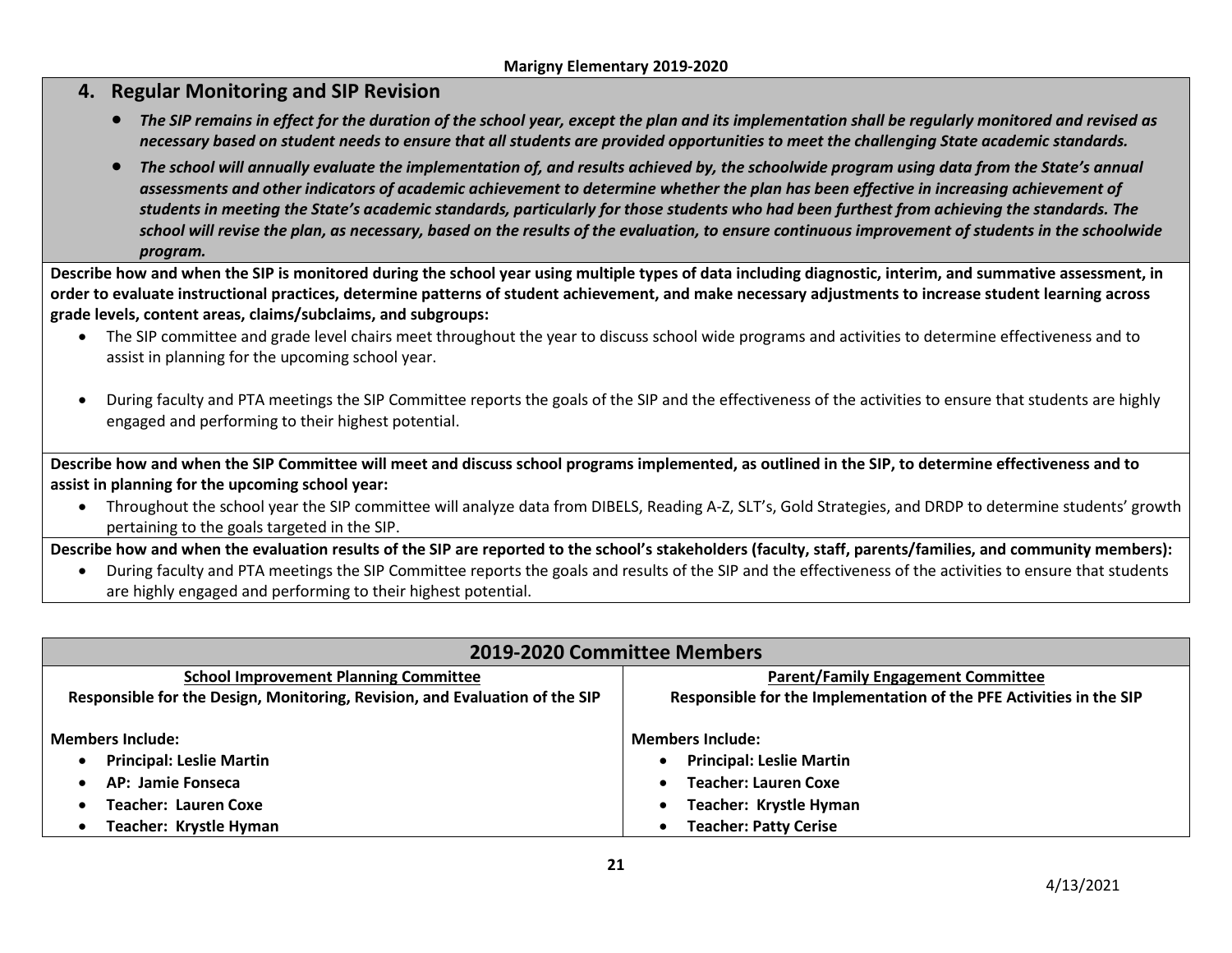# **4. Regular Monitoring and SIP Revision**

- *The SIP remains in effect for the duration of the school year, except the plan and its implementation shall be regularly monitored and revised as necessary based on student needs to ensure that all students are provided opportunities to meet the challenging State academic standards.*
- *The school will annually evaluate the implementation of, and results achieved by, the schoolwide program using data from the State's annual assessments and other indicators of academic achievement to determine whether the plan has been effective in increasing achievement of students in meeting the State's academic standards, particularly for those students who had been furthest from achieving the standards. The school will revise the plan, as necessary, based on the results of the evaluation, to ensure continuous improvement of students in the schoolwide program.*

**Describe how and when the SIP is monitored during the school year using multiple types of data including diagnostic, interim, and summative assessment, in order to evaluate instructional practices, determine patterns of student achievement, and make necessary adjustments to increase student learning across grade levels, content areas, claims/subclaims, and subgroups:**

- The SIP committee and grade level chairs meet throughout the year to discuss school wide programs and activities to determine effectiveness and to assist in planning for the upcoming school year.
- During faculty and PTA meetings the SIP Committee reports the goals of the SIP and the effectiveness of the activities to ensure that students are highly engaged and performing to their highest potential.

**Describe how and when the SIP Committee will meet and discuss school programs implemented, as outlined in the SIP, to determine effectiveness and to assist in planning for the upcoming school year:**

• Throughout the school year the SIP committee will analyze data from DIBELS, Reading A-Z, SLT's, Gold Strategies, and DRDP to determine students' growth pertaining to the goals targeted in the SIP.

**Describe how and when the evaluation results of the SIP are reported to the school's stakeholders (faculty, staff, parents/families, and community members):**

• During faculty and PTA meetings the SIP Committee reports the goals and results of the SIP and the effectiveness of the activities to ensure that students are highly engaged and performing to their highest potential.

| 2019-2020 Committee Members                                                 |                                                                     |  |  |  |
|-----------------------------------------------------------------------------|---------------------------------------------------------------------|--|--|--|
| <b>School Improvement Planning Committee</b>                                | <b>Parent/Family Engagement Committee</b>                           |  |  |  |
| Responsible for the Design, Monitoring, Revision, and Evaluation of the SIP | Responsible for the Implementation of the PFE Activities in the SIP |  |  |  |
| <b>Members Include:</b>                                                     | <b>Members Include:</b>                                             |  |  |  |
| <b>Principal: Leslie Martin</b>                                             | <b>Principal: Leslie Martin</b>                                     |  |  |  |
| AP: Jamie Fonseca                                                           | <b>Teacher: Lauren Coxe</b>                                         |  |  |  |
| Teacher: Lauren Coxe                                                        | Teacher: Krystle Hyman                                              |  |  |  |
| Teacher: Krystle Hyman                                                      | <b>Teacher: Patty Cerise</b>                                        |  |  |  |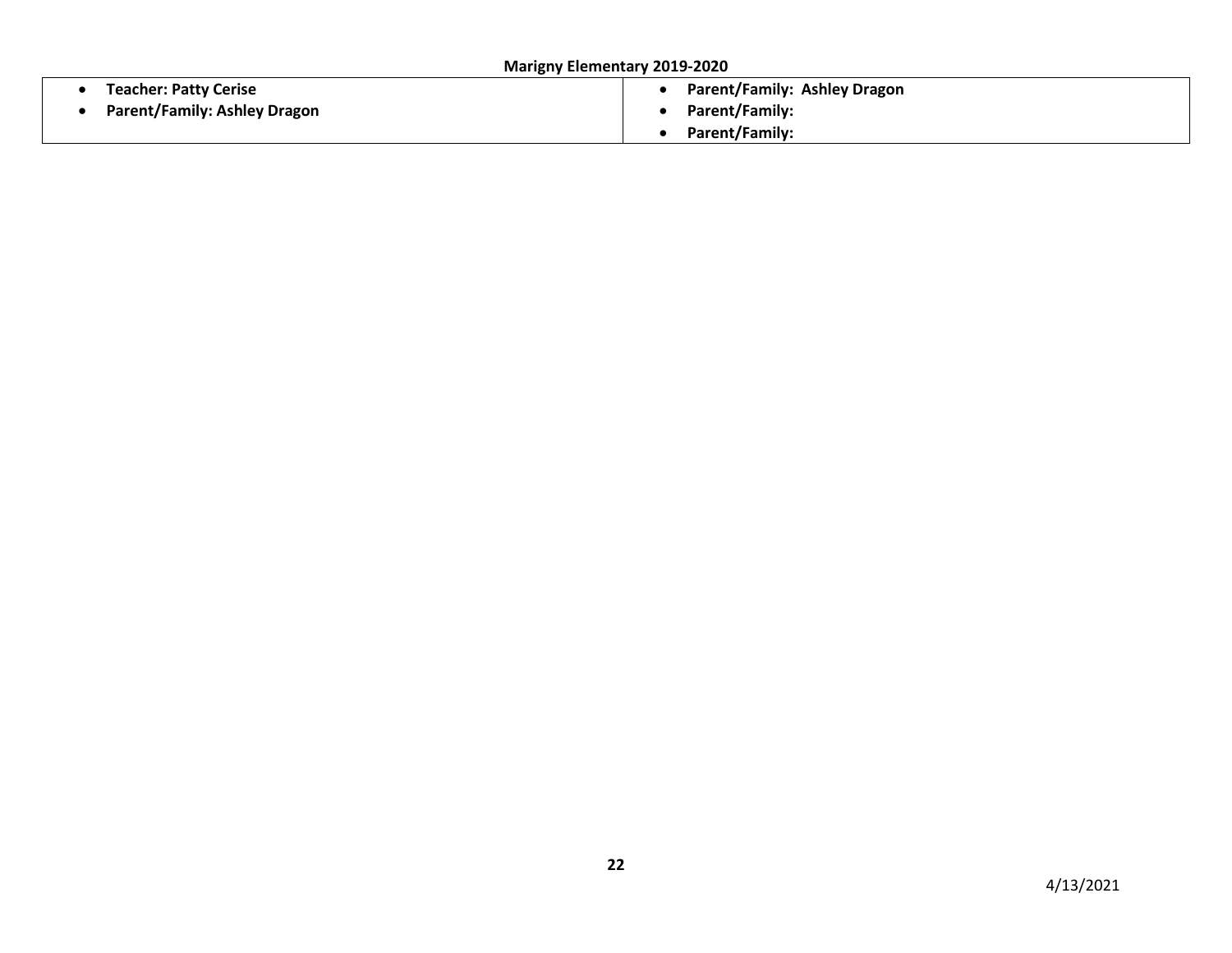**Marigny Elementary 2019-2020**

| <b>Teacher: Patty Cerise</b>        | <b>Parent/Family: Ashley Dragon</b> |
|-------------------------------------|-------------------------------------|
| <b>Parent/Family: Ashley Dragon</b> | Parent/Family:                      |
|                                     | Parent/Family:                      |